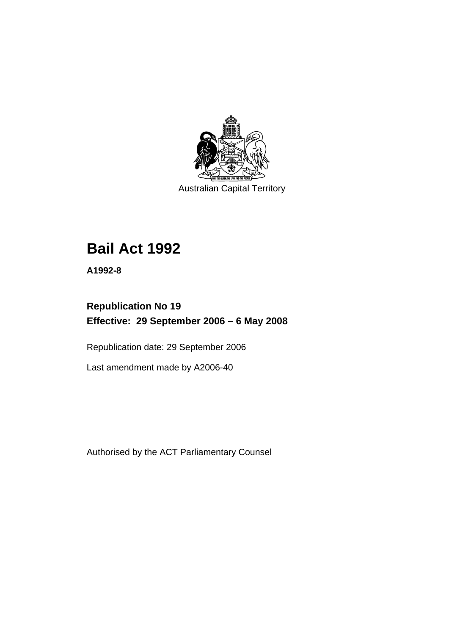

Australian Capital Territory

# **[Bail Act 1992](#page-6-0)**

**A1992-8** 

# **Republication No 19 Effective: 29 September 2006 – 6 May 2008**

Republication date: 29 September 2006

Last amendment made by A2006-40

Authorised by the ACT Parliamentary Counsel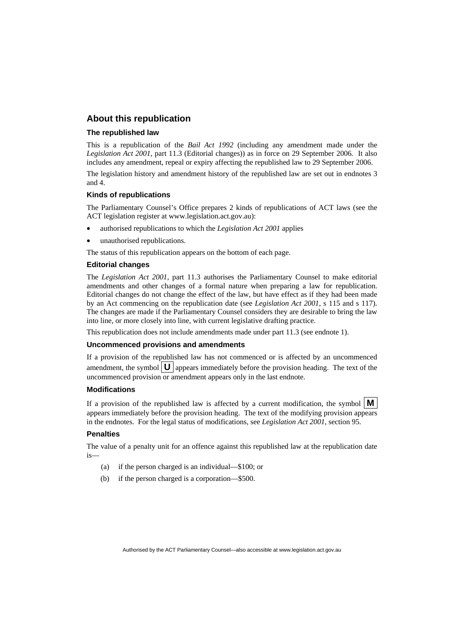#### **About this republication**

#### **The republished law**

This is a republication of the *Bail Act 1992* (including any amendment made under the *Legislation Act 2001*, part 11.3 (Editorial changes)) as in force on 29 September 2006*.* It also includes any amendment, repeal or expiry affecting the republished law to 29 September 2006.

The legislation history and amendment history of the republished law are set out in endnotes 3 and 4.

#### **Kinds of republications**

The Parliamentary Counsel's Office prepares 2 kinds of republications of ACT laws (see the ACT legislation register at www.legislation.act.gov.au):

- authorised republications to which the *Legislation Act 2001* applies
- unauthorised republications.

The status of this republication appears on the bottom of each page.

#### **Editorial changes**

The *Legislation Act 2001*, part 11.3 authorises the Parliamentary Counsel to make editorial amendments and other changes of a formal nature when preparing a law for republication. Editorial changes do not change the effect of the law, but have effect as if they had been made by an Act commencing on the republication date (see *Legislation Act 2001*, s 115 and s 117). The changes are made if the Parliamentary Counsel considers they are desirable to bring the law into line, or more closely into line, with current legislative drafting practice.

This republication does not include amendments made under part 11.3 (see endnote 1).

#### **Uncommenced provisions and amendments**

If a provision of the republished law has not commenced or is affected by an uncommenced amendment, the symbol  $\mathbf{U}$  appears immediately before the provision heading. The text of the uncommenced provision or amendment appears only in the last endnote.

#### **Modifications**

If a provision of the republished law is affected by a current modification, the symbol  $\mathbf{M}$ appears immediately before the provision heading. The text of the modifying provision appears in the endnotes. For the legal status of modifications, see *Legislation Act 2001*, section 95.

#### **Penalties**

The value of a penalty unit for an offence against this republished law at the republication date is—

- (a) if the person charged is an individual—\$100; or
- (b) if the person charged is a corporation—\$500.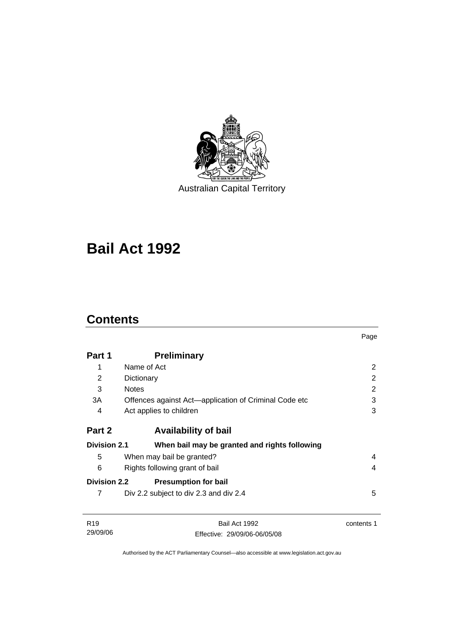

Australian Capital Territory

# **[Bail Act 1992](#page-6-0)**

# **Contents**

|                     |                                                       | Page           |
|---------------------|-------------------------------------------------------|----------------|
| Part 1              | <b>Preliminary</b>                                    |                |
| 1                   | Name of Act                                           | $\overline{2}$ |
| 2                   | Dictionary                                            | 2              |
| 3                   | <b>Notes</b>                                          | 2              |
| 3A                  | Offences against Act-application of Criminal Code etc | 3              |
| 4                   | Act applies to children                               | 3              |
| Part 2              | <b>Availability of bail</b>                           |                |
| <b>Division 2.1</b> | When bail may be granted and rights following         |                |
| 5                   | When may bail be granted?                             | 4              |
| 6                   | Rights following grant of bail                        | 4              |
| <b>Division 2.2</b> | <b>Presumption for bail</b>                           |                |
| 7                   | Div 2.2 subject to div 2.3 and div 2.4                | 5              |
| R <sub>19</sub>     | Bail Act 1992                                         | contents 1     |
| 29/09/06            | Effective: 29/09/06-06/05/08                          |                |

Authorised by the ACT Parliamentary Counsel—also accessible at www.legislation.act.gov.au

Effective: 29/09/06-06/05/08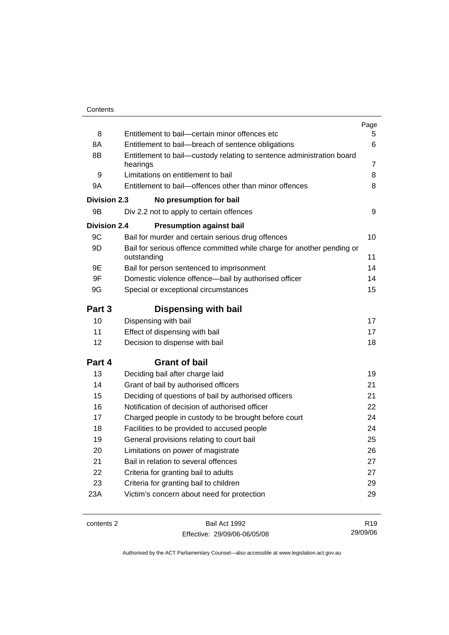|                     |                                                                                       | Page            |
|---------------------|---------------------------------------------------------------------------------------|-----------------|
| 8                   | Entitlement to bail-certain minor offences etc                                        | 5               |
| 8A                  | Entitlement to bail-breach of sentence obligations                                    | 6               |
| 8B                  | Entitlement to bail—custody relating to sentence administration board                 |                 |
|                     | hearings                                                                              | 7               |
| 9                   | Limitations on entitlement to bail                                                    | 8               |
| 9A                  | Entitlement to bail-offences other than minor offences                                | 8               |
| Division 2.3        | No presumption for bail                                                               |                 |
| 9B                  | Div 2.2 not to apply to certain offences                                              | 9               |
| <b>Division 2.4</b> | <b>Presumption against bail</b>                                                       |                 |
| 9C                  | Bail for murder and certain serious drug offences                                     | 10              |
| 9D                  | Bail for serious offence committed while charge for another pending or<br>outstanding | 11              |
| 9E                  | Bail for person sentenced to imprisonment                                             | 14              |
| 9F                  | Domestic violence offence-bail by authorised officer                                  | 14              |
| 9G                  | Special or exceptional circumstances                                                  | 15              |
|                     |                                                                                       |                 |
| Part 3              | <b>Dispensing with bail</b>                                                           |                 |
| 10                  | Dispensing with bail                                                                  | 17              |
| 11                  | Effect of dispensing with bail                                                        | 17              |
| 12                  | Decision to dispense with bail                                                        | 18              |
| Part 4              | <b>Grant of bail</b>                                                                  |                 |
| 13                  | Deciding bail after charge laid                                                       | 19              |
| 14                  | Grant of bail by authorised officers                                                  | 21              |
| 15                  | Deciding of questions of bail by authorised officers                                  | 21              |
| 16                  | Notification of decision of authorised officer                                        | 22              |
| 17                  | Charged people in custody to be brought before court                                  | 24              |
| 18                  | Facilities to be provided to accused people                                           | 24              |
| 19                  | General provisions relating to court bail                                             | 25              |
| 20                  | Limitations on power of magistrate                                                    | 26              |
| 21                  | Bail in relation to several offences                                                  | 27              |
| 22                  | Criteria for granting bail to adults                                                  | 27              |
| 23                  | Criteria for granting bail to children                                                | 29              |
| 23A                 | Victim's concern about need for protection                                            | 29              |
|                     |                                                                                       |                 |
| contents 2          | Bail Act 1992                                                                         | R <sub>19</sub> |

Effective: 29/09/06-06/05/08

R19 29/09/06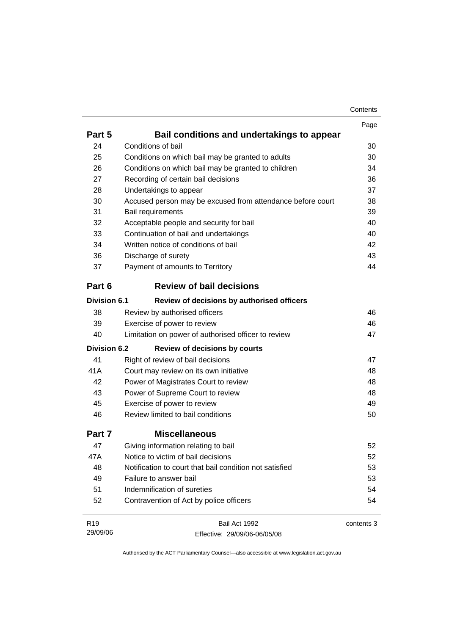|                     |                                                            | Page       |
|---------------------|------------------------------------------------------------|------------|
| Part 5              | Bail conditions and undertakings to appear                 |            |
| 24                  | Conditions of bail                                         | 30         |
| 25                  | Conditions on which bail may be granted to adults          | 30         |
| 26                  | Conditions on which bail may be granted to children        | 34         |
| 27                  | Recording of certain bail decisions                        | 36         |
| 28                  | Undertakings to appear                                     | 37         |
| 30                  | Accused person may be excused from attendance before court | 38         |
| 31                  | <b>Bail requirements</b>                                   | 39         |
| 32                  | Acceptable people and security for bail                    | 40         |
| 33                  | Continuation of bail and undertakings                      | 40         |
| 34                  | Written notice of conditions of bail                       | 42         |
| 36                  | Discharge of surety                                        | 43         |
| 37                  | Payment of amounts to Territory                            | 44         |
| Part 6              | <b>Review of bail decisions</b>                            |            |
| <b>Division 6.1</b> | Review of decisions by authorised officers                 |            |
| 38                  | Review by authorised officers                              | 46         |
| 39                  | Exercise of power to review                                | 46         |
| 40                  | Limitation on power of authorised officer to review        | 47         |
| <b>Division 6.2</b> | <b>Review of decisions by courts</b>                       |            |
| 41                  | Right of review of bail decisions                          | 47         |
| 41A                 | Court may review on its own initiative                     | 48         |
| 42                  | Power of Magistrates Court to review                       | 48         |
| 43                  | Power of Supreme Court to review                           | 48         |
| 45                  | Exercise of power to review                                | 49         |
| 46                  | Review limited to bail conditions                          | 50         |
| Part 7              | <b>Miscellaneous</b>                                       |            |
| 47                  | Giving information relating to bail                        | 52         |
| 47A                 | Notice to victim of bail decisions                         | 52         |
| 48                  | Notification to court that bail condition not satisfied    | 53         |
| 49                  | Failure to answer bail                                     | 53         |
| 51                  | Indemnification of sureties                                | 54         |
| 52                  | Contravention of Act by police officers                    | 54         |
| R <sub>19</sub>     | Bail Act 1992                                              | contents 3 |
| 29/09/06            | Effective: 29/09/06-06/05/08                               |            |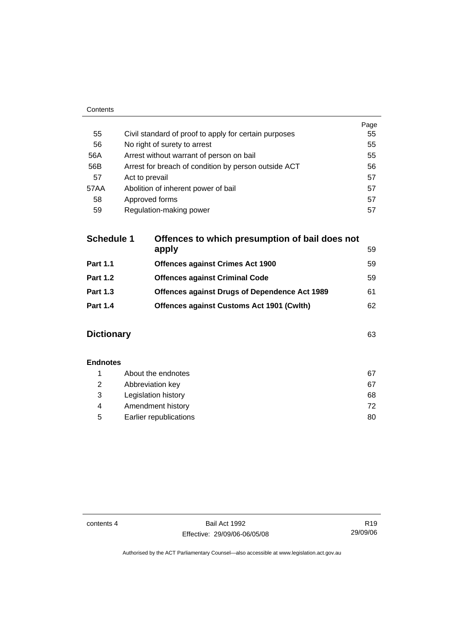| Contents |                                                       |      |
|----------|-------------------------------------------------------|------|
|          |                                                       | Page |
| 55       | Civil standard of proof to apply for certain purposes | 55   |
| 56       | No right of surety to arrest                          | 55   |
| 56A      | Arrest without warrant of person on bail              | 55   |
| 56B      | Arrest for breach of condition by person outside ACT  | 56   |
| 57       | Act to prevail                                        | 57   |
| 57AA     | Abolition of inherent power of bail                   | 57   |
| 58       | Approved forms                                        | 57   |
| 59       | Regulation-making power                               | 57   |

| <b>Schedule 1</b> | Offences to which presumption of bail does not |    |
|-------------------|------------------------------------------------|----|
|                   | apply                                          | 59 |
| <b>Part 1.1</b>   | <b>Offences against Crimes Act 1900</b>        | 59 |
| <b>Part 1.2</b>   | <b>Offences against Criminal Code</b>          | 59 |
| <b>Part 1.3</b>   | Offences against Drugs of Dependence Act 1989  | 61 |
| <b>Part 1.4</b>   | Offences against Customs Act 1901 (Cwlth)      | 62 |
|                   |                                                |    |

# **Dictionary** [63](#page-68-0)

| <b>Endnotes</b> |                        |    |
|-----------------|------------------------|----|
|                 | About the endnotes     | 67 |
| 2               | Abbreviation key       | 67 |
| 3               | Legislation history    | 68 |
| 4               | Amendment history      | 72 |
| 5               | Earlier republications | 80 |

contents 4 Bail Act 1992 Effective: 29/09/06-06/05/08

R19 29/09/06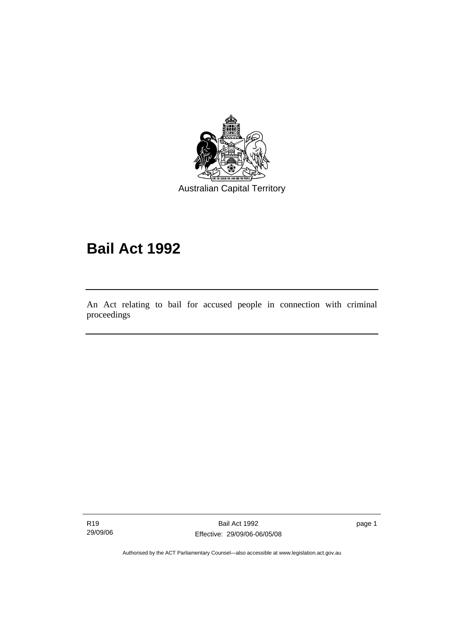<span id="page-6-0"></span>

Australian Capital Territory

# **Bail Act 1992**

An Act relating to bail for accused people in connection with criminal proceedings

R19 29/09/06

l

Bail Act 1992 Effective: 29/09/06-06/05/08 page 1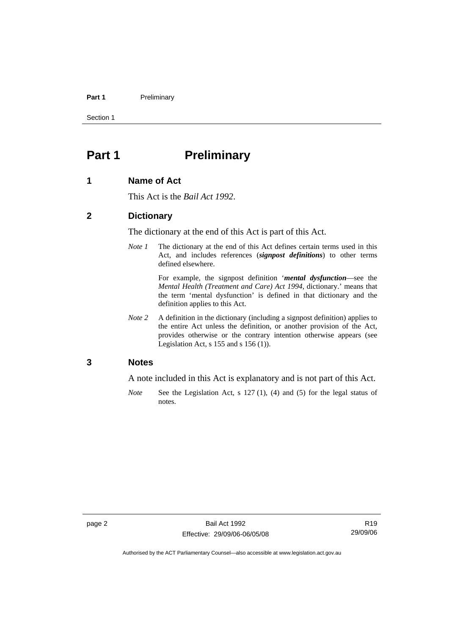#### <span id="page-7-0"></span>Part 1 **Preliminary**

Section 1

# **Part 1** Preliminary

#### **1 Name of Act**

This Act is the *Bail Act 1992*.

#### **2 Dictionary**

The dictionary at the end of this Act is part of this Act.

*Note 1* The dictionary at the end of this Act defines certain terms used in this Act, and includes references (*signpost definitions*) to other terms defined elsewhere.

> For example, the signpost definition '*mental dysfunction*—see the *Mental Health (Treatment and Care) Act 1994*, dictionary.' means that the term 'mental dysfunction' is defined in that dictionary and the definition applies to this Act.

*Note 2* A definition in the dictionary (including a signpost definition) applies to the entire Act unless the definition, or another provision of the Act, provides otherwise or the contrary intention otherwise appears (see Legislation Act, s  $155$  and s  $156$  (1)).

#### **3 Notes**

A note included in this Act is explanatory and is not part of this Act.

*Note* See the Legislation Act, s 127 (1), (4) and (5) for the legal status of notes.

R19 29/09/06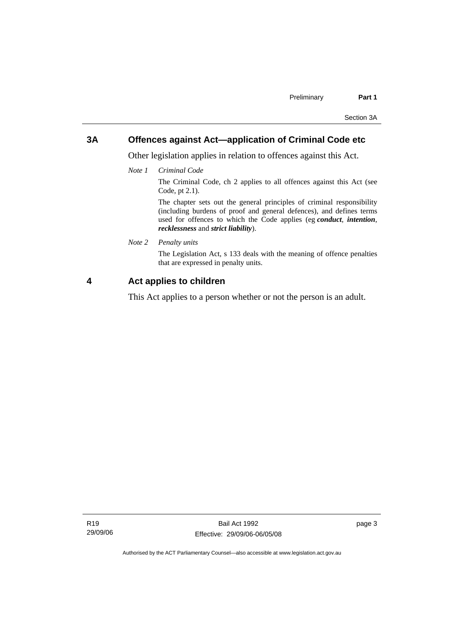### <span id="page-8-0"></span>**3A Offences against Act—application of Criminal Code etc**

Other legislation applies in relation to offences against this Act.

*Note 1 Criminal Code*

The Criminal Code, ch 2 applies to all offences against this Act (see Code, pt 2.1).

The chapter sets out the general principles of criminal responsibility (including burdens of proof and general defences), and defines terms used for offences to which the Code applies (eg *conduct*, *intention*, *recklessness* and *strict liability*).

*Note 2 Penalty units* 

The Legislation Act, s 133 deals with the meaning of offence penalties that are expressed in penalty units.

#### **4 Act applies to children**

This Act applies to a person whether or not the person is an adult.

page 3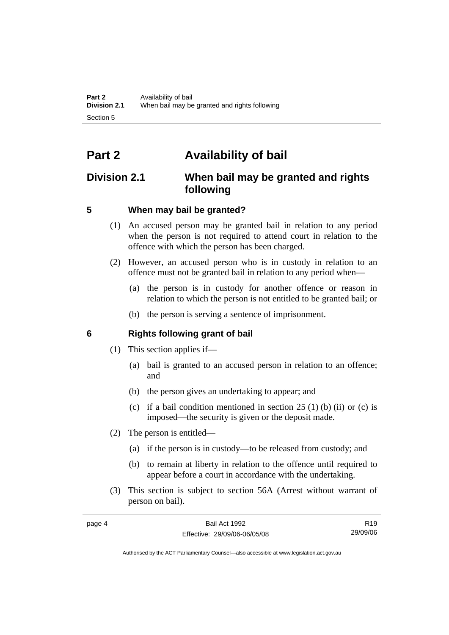# <span id="page-9-0"></span>**Part 2 Availability of bail**

# **Division 2.1 When bail may be granted and rights following**

# **5 When may bail be granted?**

- (1) An accused person may be granted bail in relation to any period when the person is not required to attend court in relation to the offence with which the person has been charged.
- (2) However, an accused person who is in custody in relation to an offence must not be granted bail in relation to any period when—
	- (a) the person is in custody for another offence or reason in relation to which the person is not entitled to be granted bail; or
	- (b) the person is serving a sentence of imprisonment.

# **6 Rights following grant of bail**

- (1) This section applies if—
	- (a) bail is granted to an accused person in relation to an offence; and
	- (b) the person gives an undertaking to appear; and
	- (c) if a bail condition mentioned in section  $25(1)$  (b) (ii) or (c) is imposed—the security is given or the deposit made.
- (2) The person is entitled—
	- (a) if the person is in custody—to be released from custody; and
	- (b) to remain at liberty in relation to the offence until required to appear before a court in accordance with the undertaking.
- (3) This section is subject to section 56A (Arrest without warrant of person on bail).

| page 4 | Bail Act 1992                | R <sub>19</sub> |
|--------|------------------------------|-----------------|
|        | Effective: 29/09/06-06/05/08 | 29/09/06        |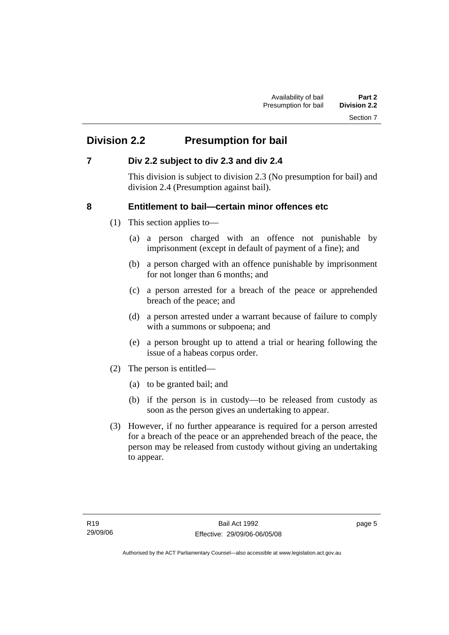# <span id="page-10-0"></span>**Division 2.2 Presumption for bail**

# **7 Div 2.2 subject to div 2.3 and div 2.4**

This division is subject to division 2.3 (No presumption for bail) and division 2.4 (Presumption against bail).

# **8 Entitlement to bail—certain minor offences etc**

- (1) This section applies to—
	- (a) a person charged with an offence not punishable by imprisonment (except in default of payment of a fine); and
	- (b) a person charged with an offence punishable by imprisonment for not longer than 6 months; and
	- (c) a person arrested for a breach of the peace or apprehended breach of the peace; and
	- (d) a person arrested under a warrant because of failure to comply with a summons or subpoena; and
	- (e) a person brought up to attend a trial or hearing following the issue of a habeas corpus order.
- (2) The person is entitled—
	- (a) to be granted bail; and
	- (b) if the person is in custody—to be released from custody as soon as the person gives an undertaking to appear.
- (3) However, if no further appearance is required for a person arrested for a breach of the peace or an apprehended breach of the peace, the person may be released from custody without giving an undertaking to appear.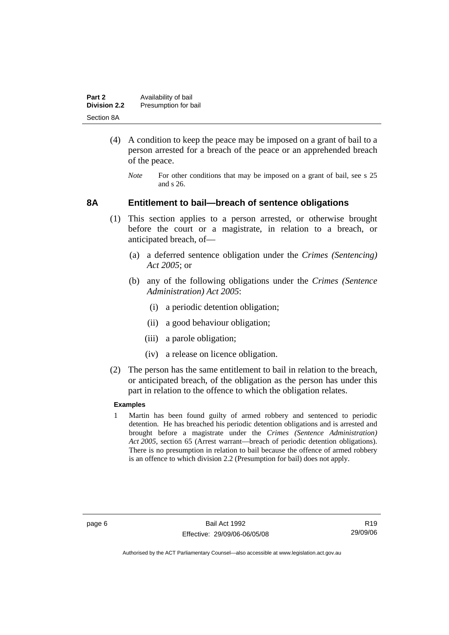<span id="page-11-0"></span>

| Part 2              | Availability of bail |
|---------------------|----------------------|
| <b>Division 2.2</b> | Presumption for bail |
| Section 8A          |                      |

- (4) A condition to keep the peace may be imposed on a grant of bail to a person arrested for a breach of the peace or an apprehended breach of the peace.
	- *Note* For other conditions that may be imposed on a grant of bail, see s 25 and s 26.

#### **8A Entitlement to bail—breach of sentence obligations**

- (1) This section applies to a person arrested, or otherwise brought before the court or a magistrate, in relation to a breach, or anticipated breach, of—
	- (a) a deferred sentence obligation under the *Crimes (Sentencing) Act 2005*; or
	- (b) any of the following obligations under the *Crimes (Sentence Administration) Act 2005*:
		- (i) a periodic detention obligation;
		- (ii) a good behaviour obligation;
		- (iii) a parole obligation;
		- (iv) a release on licence obligation.
- (2) The person has the same entitlement to bail in relation to the breach, or anticipated breach, of the obligation as the person has under this part in relation to the offence to which the obligation relates.

#### **Examples**

1 Martin has been found guilty of armed robbery and sentenced to periodic detention. He has breached his periodic detention obligations and is arrested and brought before a magistrate under the *Crimes (Sentence Administration) Act 2005*, section 65 (Arrest warrant—breach of periodic detention obligations). There is no presumption in relation to bail because the offence of armed robbery is an offence to which division 2.2 (Presumption for bail) does not apply.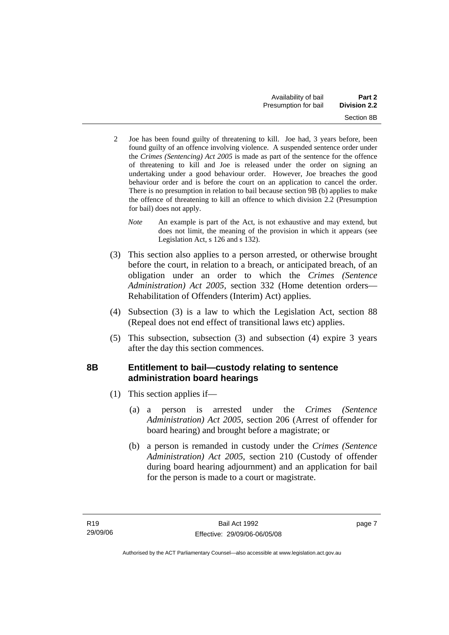- <span id="page-12-0"></span>2 Joe has been found guilty of threatening to kill. Joe had, 3 years before, been found guilty of an offence involving violence. A suspended sentence order under the *Crimes (Sentencing) Act 2005* is made as part of the sentence for the offence of threatening to kill and Joe is released under the order on signing an undertaking under a good behaviour order. However, Joe breaches the good behaviour order and is before the court on an application to cancel the order. There is no presumption in relation to bail because section 9B (b) applies to make the offence of threatening to kill an offence to which division 2.2 (Presumption for bail) does not apply.
	- *Note* An example is part of the Act, is not exhaustive and may extend, but does not limit, the meaning of the provision in which it appears (see Legislation Act, s 126 and s 132).
- (3) This section also applies to a person arrested, or otherwise brought before the court, in relation to a breach, or anticipated breach, of an obligation under an order to which the *Crimes (Sentence Administration) Act 2005*, section 332 (Home detention orders— Rehabilitation of Offenders (Interim) Act) applies.
- (4) Subsection (3) is a law to which the Legislation Act, section 88 (Repeal does not end effect of transitional laws etc) applies.
- (5) This subsection, subsection (3) and subsection (4) expire 3 years after the day this section commences.

# **8B Entitlement to bail—custody relating to sentence administration board hearings**

- (1) This section applies if—
	- (a) a person is arrested under the *Crimes (Sentence Administration) Act 2005*, section 206 (Arrest of offender for board hearing) and brought before a magistrate; or
	- (b) a person is remanded in custody under the *Crimes (Sentence Administration) Act 2005*, section 210 (Custody of offender during board hearing adjournment) and an application for bail for the person is made to a court or magistrate.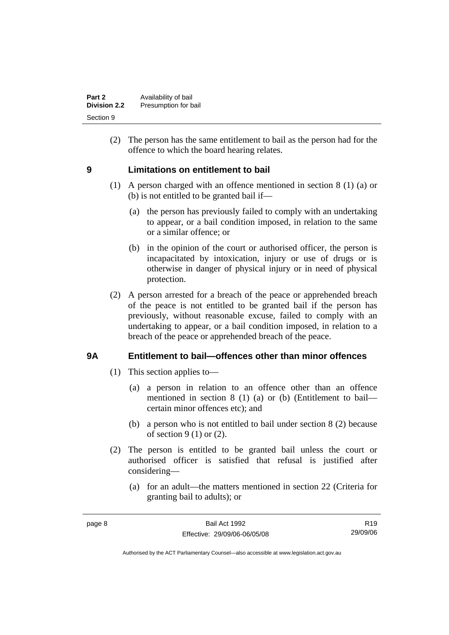<span id="page-13-0"></span>

| Part 2              | Availability of bail |
|---------------------|----------------------|
| <b>Division 2.2</b> | Presumption for bail |
| Section 9           |                      |

 (2) The person has the same entitlement to bail as the person had for the offence to which the board hearing relates.

### **9 Limitations on entitlement to bail**

- (1) A person charged with an offence mentioned in section 8 (1) (a) or (b) is not entitled to be granted bail if—
	- (a) the person has previously failed to comply with an undertaking to appear, or a bail condition imposed, in relation to the same or a similar offence; or
	- (b) in the opinion of the court or authorised officer, the person is incapacitated by intoxication, injury or use of drugs or is otherwise in danger of physical injury or in need of physical protection.
- (2) A person arrested for a breach of the peace or apprehended breach of the peace is not entitled to be granted bail if the person has previously, without reasonable excuse, failed to comply with an undertaking to appear, or a bail condition imposed, in relation to a breach of the peace or apprehended breach of the peace.

### **9A Entitlement to bail—offences other than minor offences**

- (1) This section applies to—
	- (a) a person in relation to an offence other than an offence mentioned in section 8 (1) (a) or (b) (Entitlement to bail certain minor offences etc); and
	- (b) a person who is not entitled to bail under section 8 (2) because of section 9 (1) or (2).
- (2) The person is entitled to be granted bail unless the court or authorised officer is satisfied that refusal is justified after considering—
	- (a) for an adult—the matters mentioned in section 22 (Criteria for granting bail to adults); or

R19 29/09/06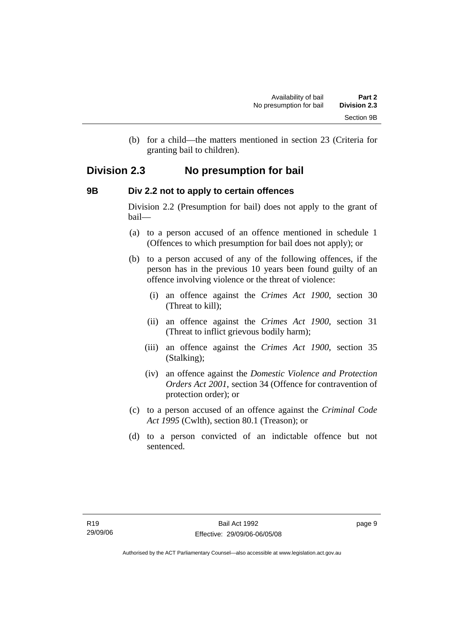(b) for a child—the matters mentioned in section 23 (Criteria for granting bail to children).

# <span id="page-14-0"></span>**Division 2.3 No presumption for bail**

### **9B Div 2.2 not to apply to certain offences**

Division 2.2 (Presumption for bail) does not apply to the grant of bail—

- (a) to a person accused of an offence mentioned in schedule 1 (Offences to which presumption for bail does not apply); or
- (b) to a person accused of any of the following offences, if the person has in the previous 10 years been found guilty of an offence involving violence or the threat of violence:
	- (i) an offence against the *Crimes Act 1900*, section 30 (Threat to kill);
	- (ii) an offence against the *Crimes Act 1900*, section 31 (Threat to inflict grievous bodily harm);
	- (iii) an offence against the *Crimes Act 1900*, section 35 (Stalking);
	- (iv) an offence against the *Domestic Violence and Protection Orders Act 2001*, section 34 (Offence for contravention of protection order); or
- (c) to a person accused of an offence against the *Criminal Code Act 1995* (Cwlth), section 80.1 (Treason); or
- (d) to a person convicted of an indictable offence but not sentenced.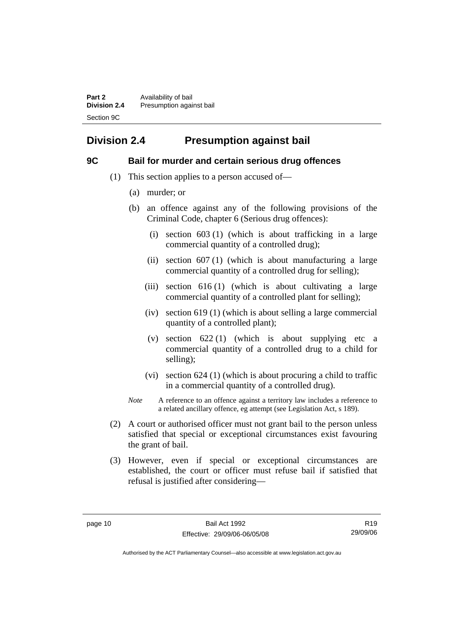<span id="page-15-0"></span>**Part 2 Availability of bail Division 2.4** Presumption against bail Section 9C

# **Division 2.4 Presumption against bail**

### **9C Bail for murder and certain serious drug offences**

- (1) This section applies to a person accused of—
	- (a) murder; or
	- (b) an offence against any of the following provisions of the Criminal Code, chapter 6 (Serious drug offences):
		- (i) section 603 (1) (which is about trafficking in a large commercial quantity of a controlled drug);
		- (ii) section 607 (1) (which is about manufacturing a large commercial quantity of a controlled drug for selling);
		- (iii) section  $616(1)$  (which is about cultivating a large commercial quantity of a controlled plant for selling);
		- (iv) section 619 (1) (which is about selling a large commercial quantity of a controlled plant);
		- (v) section 622 (1) (which is about supplying etc a commercial quantity of a controlled drug to a child for selling);
		- (vi) section 624 (1) (which is about procuring a child to traffic in a commercial quantity of a controlled drug).
	- *Note* A reference to an offence against a territory law includes a reference to a related ancillary offence, eg attempt (see Legislation Act, s 189).
- (2) A court or authorised officer must not grant bail to the person unless satisfied that special or exceptional circumstances exist favouring the grant of bail.
- (3) However, even if special or exceptional circumstances are established, the court or officer must refuse bail if satisfied that refusal is justified after considering—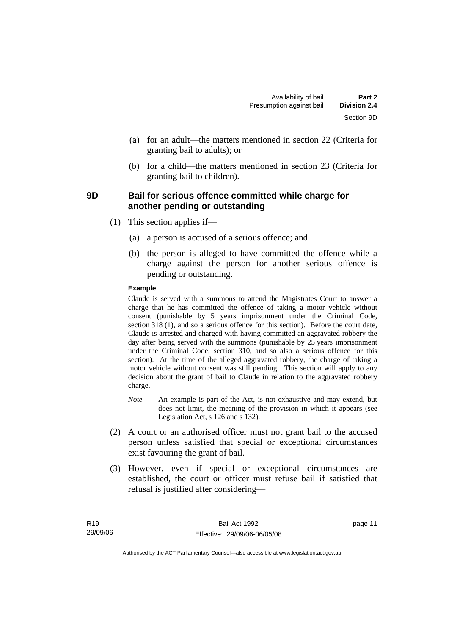- <span id="page-16-0"></span> (a) for an adult—the matters mentioned in section 22 (Criteria for granting bail to adults); or
- (b) for a child—the matters mentioned in section 23 (Criteria for granting bail to children).

### **9D Bail for serious offence committed while charge for another pending or outstanding**

- (1) This section applies if—
	- (a) a person is accused of a serious offence; and
	- (b) the person is alleged to have committed the offence while a charge against the person for another serious offence is pending or outstanding.

#### **Example**

Claude is served with a summons to attend the Magistrates Court to answer a charge that he has committed the offence of taking a motor vehicle without consent (punishable by 5 years imprisonment under the Criminal Code, section 318 (1), and so a serious offence for this section). Before the court date, Claude is arrested and charged with having committed an aggravated robbery the day after being served with the summons (punishable by 25 years imprisonment under the Criminal Code, section 310, and so also a serious offence for this section). At the time of the alleged aggravated robbery, the charge of taking a motor vehicle without consent was still pending. This section will apply to any decision about the grant of bail to Claude in relation to the aggravated robbery charge.

- *Note* An example is part of the Act, is not exhaustive and may extend, but does not limit, the meaning of the provision in which it appears (see Legislation Act, s 126 and s 132).
- (2) A court or an authorised officer must not grant bail to the accused person unless satisfied that special or exceptional circumstances exist favouring the grant of bail.
- (3) However, even if special or exceptional circumstances are established, the court or officer must refuse bail if satisfied that refusal is justified after considering—

page 11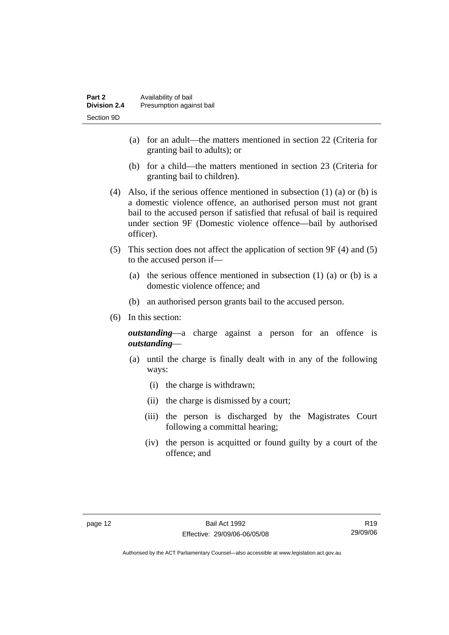- (a) for an adult—the matters mentioned in section 22 (Criteria for granting bail to adults); or
- (b) for a child—the matters mentioned in section 23 (Criteria for granting bail to children).
- (4) Also, if the serious offence mentioned in subsection (1) (a) or (b) is a domestic violence offence, an authorised person must not grant bail to the accused person if satisfied that refusal of bail is required under section 9F (Domestic violence offence—bail by authorised officer).
- (5) This section does not affect the application of section 9F (4) and (5) to the accused person if—
	- (a) the serious offence mentioned in subsection (1) (a) or (b) is a domestic violence offence; and
	- (b) an authorised person grants bail to the accused person.
- (6) In this section:

*outstanding*—a charge against a person for an offence is *outstanding*—

- (a) until the charge is finally dealt with in any of the following ways:
	- (i) the charge is withdrawn;
	- (ii) the charge is dismissed by a court;
	- (iii) the person is discharged by the Magistrates Court following a committal hearing;
	- (iv) the person is acquitted or found guilty by a court of the offence; and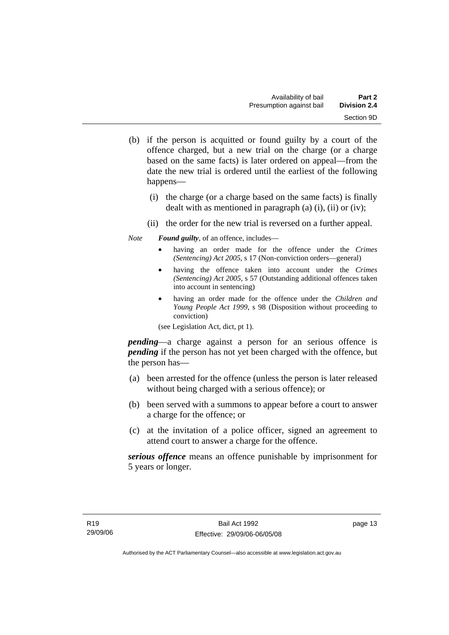- (b) if the person is acquitted or found guilty by a court of the offence charged, but a new trial on the charge (or a charge based on the same facts) is later ordered on appeal—from the date the new trial is ordered until the earliest of the following happens—
	- (i) the charge (or a charge based on the same facts) is finally dealt with as mentioned in paragraph (a) (i), (ii) or (iv);
	- (ii) the order for the new trial is reversed on a further appeal.

*Note Found guilty*, of an offence, includes—

- having an order made for the offence under the *Crimes (Sentencing) Act 2005*, s 17 (Non-conviction orders—general)
- having the offence taken into account under the *Crimes (Sentencing) Act 2005*, s 57 (Outstanding additional offences taken into account in sentencing)
- having an order made for the offence under the *Children and Young People Act 1999*, s 98 (Disposition without proceeding to conviction)

(see Legislation Act, dict, pt 1).

*pending*—a charge against a person for an serious offence is *pending* if the person has not yet been charged with the offence, but the person has—

- (a) been arrested for the offence (unless the person is later released without being charged with a serious offence); or
- (b) been served with a summons to appear before a court to answer a charge for the offence; or
- (c) at the invitation of a police officer, signed an agreement to attend court to answer a charge for the offence.

*serious offence* means an offence punishable by imprisonment for 5 years or longer.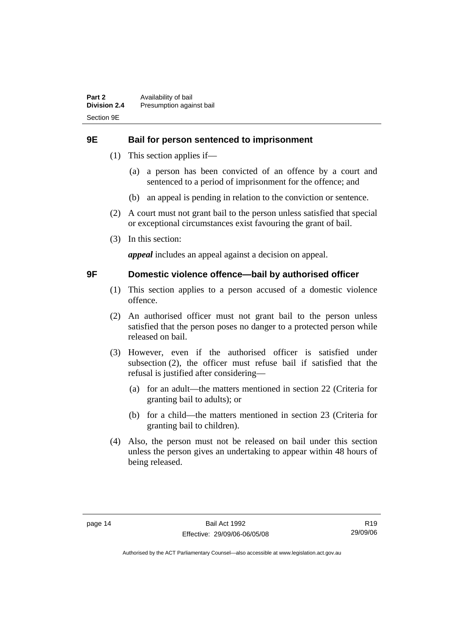### <span id="page-19-0"></span>**9E Bail for person sentenced to imprisonment**

- (1) This section applies if—
	- (a) a person has been convicted of an offence by a court and sentenced to a period of imprisonment for the offence; and
	- (b) an appeal is pending in relation to the conviction or sentence.
- (2) A court must not grant bail to the person unless satisfied that special or exceptional circumstances exist favouring the grant of bail.
- (3) In this section:

*appeal* includes an appeal against a decision on appeal.

### **9F Domestic violence offence—bail by authorised officer**

- (1) This section applies to a person accused of a domestic violence offence.
- (2) An authorised officer must not grant bail to the person unless satisfied that the person poses no danger to a protected person while released on bail.
- (3) However, even if the authorised officer is satisfied under subsection (2), the officer must refuse bail if satisfied that the refusal is justified after considering—
	- (a) for an adult—the matters mentioned in section 22 (Criteria for granting bail to adults); or
	- (b) for a child—the matters mentioned in section 23 (Criteria for granting bail to children).
- (4) Also, the person must not be released on bail under this section unless the person gives an undertaking to appear within 48 hours of being released.

R19 29/09/06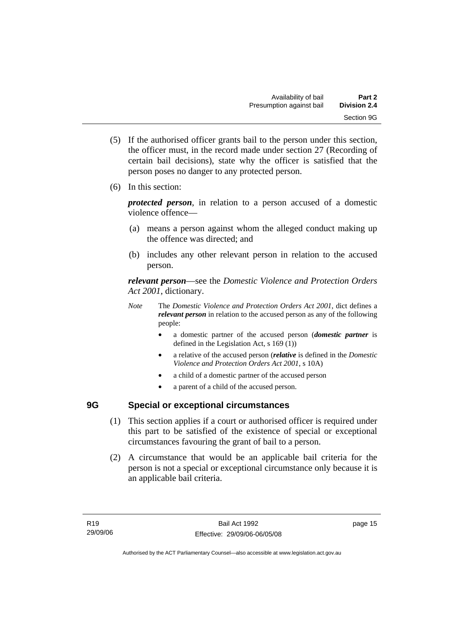- <span id="page-20-0"></span> (5) If the authorised officer grants bail to the person under this section, the officer must, in the record made under section 27 (Recording of certain bail decisions), state why the officer is satisfied that the person poses no danger to any protected person.
- (6) In this section:

*protected person*, in relation to a person accused of a domestic violence offence—

- (a) means a person against whom the alleged conduct making up the offence was directed; and
- (b) includes any other relevant person in relation to the accused person.

*relevant person*—see the *Domestic Violence and Protection Orders Act 2001*, dictionary.

- *Note* The *Domestic Violence and Protection Orders Act 2001*, dict defines a *relevant person* in relation to the accused person as any of the following people:
	- a domestic partner of the accused person (*domestic partner* is defined in the Legislation Act, s 169 (1))
	- a relative of the accused person (*relative* is defined in the *Domestic Violence and Protection Orders Act 2001*, s 10A)
	- a child of a domestic partner of the accused person
	- a parent of a child of the accused person.

# **9G Special or exceptional circumstances**

- (1) This section applies if a court or authorised officer is required under this part to be satisfied of the existence of special or exceptional circumstances favouring the grant of bail to a person.
- (2) A circumstance that would be an applicable bail criteria for the person is not a special or exceptional circumstance only because it is an applicable bail criteria.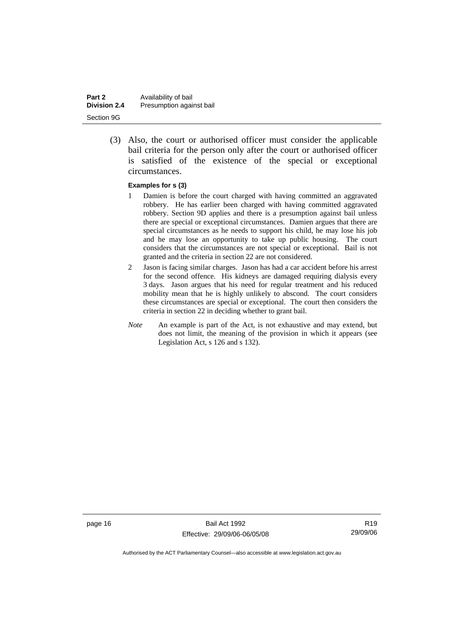| Part 2              | Availability of bail     |
|---------------------|--------------------------|
| <b>Division 2.4</b> | Presumption against bail |
| Section 9G          |                          |

 (3) Also, the court or authorised officer must consider the applicable bail criteria for the person only after the court or authorised officer is satisfied of the existence of the special or exceptional circumstances.

#### **Examples for s (3)**

- 1 Damien is before the court charged with having committed an aggravated robbery. He has earlier been charged with having committed aggravated robbery. Section 9D applies and there is a presumption against bail unless there are special or exceptional circumstances. Damien argues that there are special circumstances as he needs to support his child, he may lose his job and he may lose an opportunity to take up public housing. The court considers that the circumstances are not special or exceptional. Bail is not granted and the criteria in section 22 are not considered.
- 2 Jason is facing similar charges. Jason has had a car accident before his arrest for the second offence. His kidneys are damaged requiring dialysis every 3 days. Jason argues that his need for regular treatment and his reduced mobility mean that he is highly unlikely to abscond. The court considers these circumstances are special or exceptional. The court then considers the criteria in section 22 in deciding whether to grant bail.
- *Note* An example is part of the Act, is not exhaustive and may extend, but does not limit, the meaning of the provision in which it appears (see Legislation Act, s 126 and s 132).

page 16 Bail Act 1992 Effective: 29/09/06-06/05/08

R19 29/09/06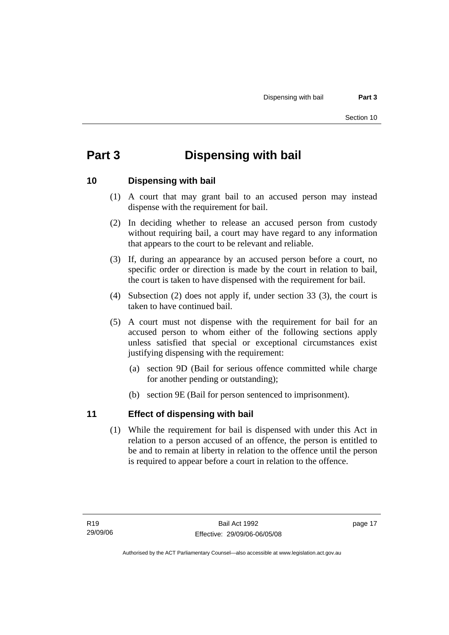# <span id="page-22-0"></span>**Part 3 Dispensing with bail**

### **10 Dispensing with bail**

- (1) A court that may grant bail to an accused person may instead dispense with the requirement for bail.
- (2) In deciding whether to release an accused person from custody without requiring bail, a court may have regard to any information that appears to the court to be relevant and reliable.
- (3) If, during an appearance by an accused person before a court, no specific order or direction is made by the court in relation to bail, the court is taken to have dispensed with the requirement for bail.
- (4) Subsection (2) does not apply if, under section 33 (3), the court is taken to have continued bail.
- (5) A court must not dispense with the requirement for bail for an accused person to whom either of the following sections apply unless satisfied that special or exceptional circumstances exist justifying dispensing with the requirement:
	- (a) section 9D (Bail for serious offence committed while charge for another pending or outstanding);
	- (b) section 9E (Bail for person sentenced to imprisonment).

### **11 Effect of dispensing with bail**

 (1) While the requirement for bail is dispensed with under this Act in relation to a person accused of an offence, the person is entitled to be and to remain at liberty in relation to the offence until the person is required to appear before a court in relation to the offence.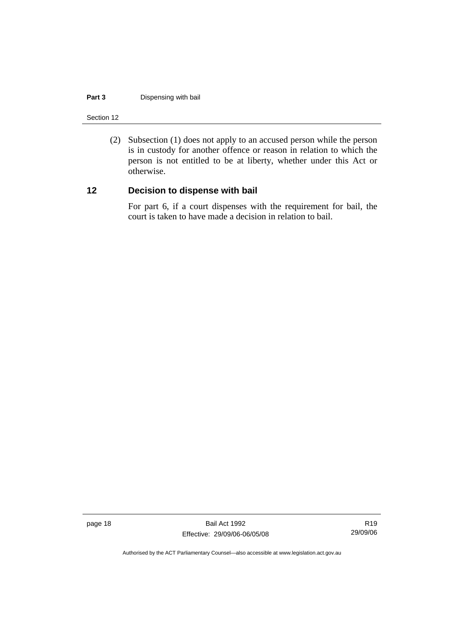#### <span id="page-23-0"></span>**Part 3** Dispensing with bail

Section 12

 (2) Subsection (1) does not apply to an accused person while the person is in custody for another offence or reason in relation to which the person is not entitled to be at liberty, whether under this Act or otherwise.

# **12 Decision to dispense with bail**

For part 6, if a court dispenses with the requirement for bail, the court is taken to have made a decision in relation to bail.

page 18 Bail Act 1992 Effective: 29/09/06-06/05/08

R19 29/09/06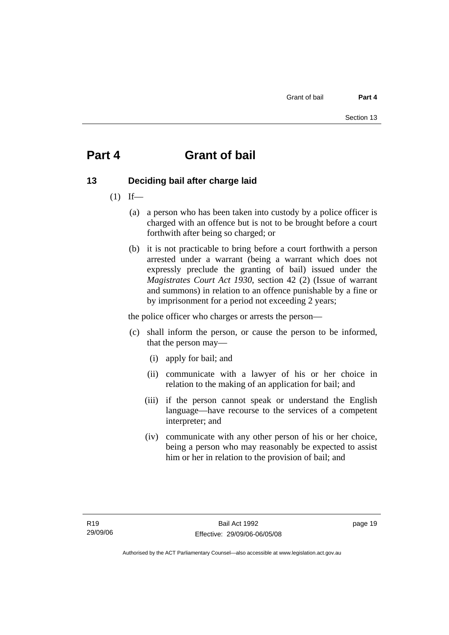# <span id="page-24-0"></span>**Part 4 Grant of bail**

# **13 Deciding bail after charge laid**

- $(1)$  If—
	- (a) a person who has been taken into custody by a police officer is charged with an offence but is not to be brought before a court forthwith after being so charged; or
	- (b) it is not practicable to bring before a court forthwith a person arrested under a warrant (being a warrant which does not expressly preclude the granting of bail) issued under the *Magistrates Court Act 1930*, section 42 (2) (Issue of warrant and summons) in relation to an offence punishable by a fine or by imprisonment for a period not exceeding 2 years;

the police officer who charges or arrests the person—

- (c) shall inform the person, or cause the person to be informed, that the person may—
	- (i) apply for bail; and
	- (ii) communicate with a lawyer of his or her choice in relation to the making of an application for bail; and
	- (iii) if the person cannot speak or understand the English language—have recourse to the services of a competent interpreter; and
	- (iv) communicate with any other person of his or her choice, being a person who may reasonably be expected to assist him or her in relation to the provision of bail; and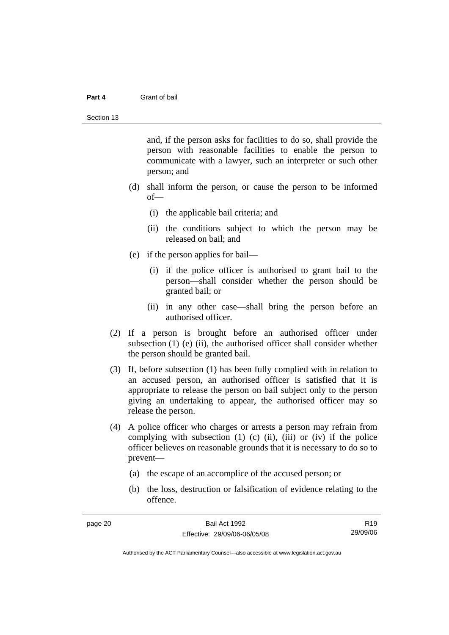#### **Part 4** Grant of bail

and, if the person asks for facilities to do so, shall provide the person with reasonable facilities to enable the person to communicate with a lawyer, such an interpreter or such other person; and

- (d) shall inform the person, or cause the person to be informed of—
	- (i) the applicable bail criteria; and
	- (ii) the conditions subject to which the person may be released on bail; and
- (e) if the person applies for bail—
	- (i) if the police officer is authorised to grant bail to the person—shall consider whether the person should be granted bail; or
	- (ii) in any other case—shall bring the person before an authorised officer.
- (2) If a person is brought before an authorised officer under subsection (1) (e) (ii), the authorised officer shall consider whether the person should be granted bail.
- (3) If, before subsection (1) has been fully complied with in relation to an accused person, an authorised officer is satisfied that it is appropriate to release the person on bail subject only to the person giving an undertaking to appear, the authorised officer may so release the person.
- (4) A police officer who charges or arrests a person may refrain from complying with subsection  $(1)$   $(c)$   $(ii)$ ,  $(iii)$  or  $(iv)$  if the police officer believes on reasonable grounds that it is necessary to do so to prevent—
	- (a) the escape of an accomplice of the accused person; or
	- (b) the loss, destruction or falsification of evidence relating to the offence.

| page 20 | Bail Act 1992                | R <sub>19</sub> |
|---------|------------------------------|-----------------|
|         | Effective: 29/09/06-06/05/08 | 29/09/06        |
|         |                              |                 |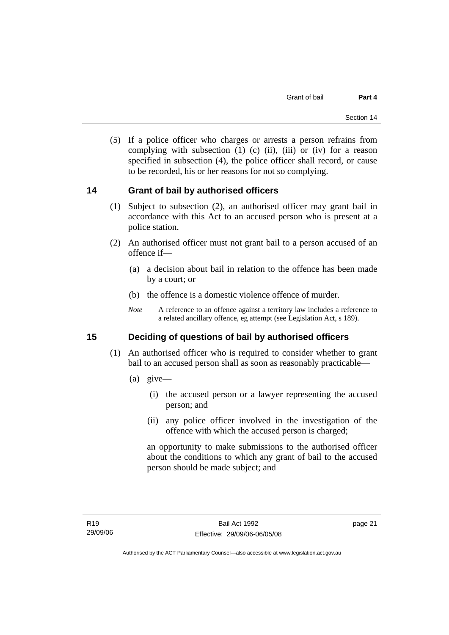<span id="page-26-0"></span> (5) If a police officer who charges or arrests a person refrains from complying with subsection  $(1)$   $(c)$   $(ii)$ ,  $(iii)$  or  $(iv)$  for a reason specified in subsection (4), the police officer shall record, or cause to be recorded, his or her reasons for not so complying.

### **14 Grant of bail by authorised officers**

- (1) Subject to subsection (2), an authorised officer may grant bail in accordance with this Act to an accused person who is present at a police station.
- (2) An authorised officer must not grant bail to a person accused of an offence if—
	- (a) a decision about bail in relation to the offence has been made by a court; or
	- (b) the offence is a domestic violence offence of murder.
	- *Note* A reference to an offence against a territory law includes a reference to a related ancillary offence, eg attempt (see Legislation Act, s 189).

# **15 Deciding of questions of bail by authorised officers**

- (1) An authorised officer who is required to consider whether to grant bail to an accused person shall as soon as reasonably practicable—
	- (a) give—
		- (i) the accused person or a lawyer representing the accused person; and
		- (ii) any police officer involved in the investigation of the offence with which the accused person is charged;

an opportunity to make submissions to the authorised officer about the conditions to which any grant of bail to the accused person should be made subject; and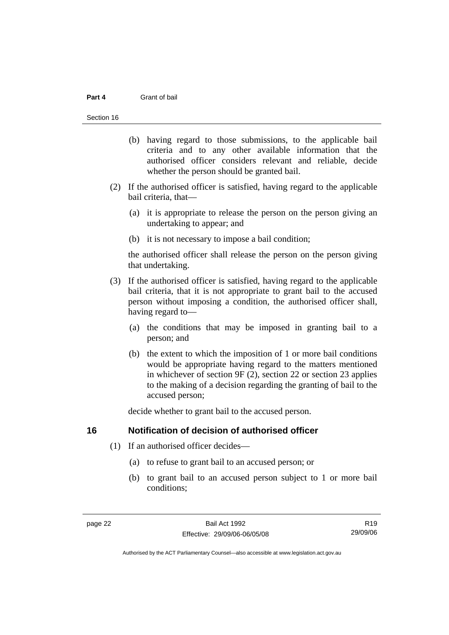#### <span id="page-27-0"></span>**Part 4** Grant of bail

#### Section 16

- (b) having regard to those submissions, to the applicable bail criteria and to any other available information that the authorised officer considers relevant and reliable, decide whether the person should be granted bail.
- (2) If the authorised officer is satisfied, having regard to the applicable bail criteria, that—
	- (a) it is appropriate to release the person on the person giving an undertaking to appear; and
	- (b) it is not necessary to impose a bail condition;

the authorised officer shall release the person on the person giving that undertaking.

- (3) If the authorised officer is satisfied, having regard to the applicable bail criteria, that it is not appropriate to grant bail to the accused person without imposing a condition, the authorised officer shall, having regard to—
	- (a) the conditions that may be imposed in granting bail to a person; and
	- (b) the extent to which the imposition of 1 or more bail conditions would be appropriate having regard to the matters mentioned in whichever of section 9F (2), section 22 or section 23 applies to the making of a decision regarding the granting of bail to the accused person;

decide whether to grant bail to the accused person.

#### **16 Notification of decision of authorised officer**

- (1) If an authorised officer decides—
	- (a) to refuse to grant bail to an accused person; or
	- (b) to grant bail to an accused person subject to 1 or more bail conditions;

R19 29/09/06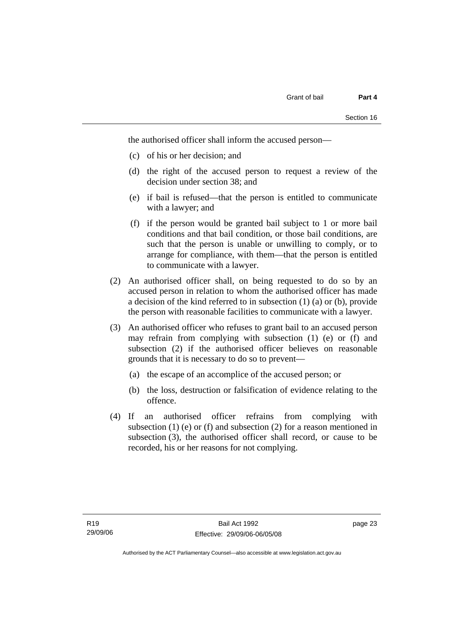the authorised officer shall inform the accused person—

- (c) of his or her decision; and
- (d) the right of the accused person to request a review of the decision under section 38; and
- (e) if bail is refused—that the person is entitled to communicate with a lawyer; and
- (f) if the person would be granted bail subject to 1 or more bail conditions and that bail condition, or those bail conditions, are such that the person is unable or unwilling to comply, or to arrange for compliance, with them—that the person is entitled to communicate with a lawyer.
- (2) An authorised officer shall, on being requested to do so by an accused person in relation to whom the authorised officer has made a decision of the kind referred to in subsection (1) (a) or (b), provide the person with reasonable facilities to communicate with a lawyer.
- (3) An authorised officer who refuses to grant bail to an accused person may refrain from complying with subsection (1) (e) or (f) and subsection (2) if the authorised officer believes on reasonable grounds that it is necessary to do so to prevent—
	- (a) the escape of an accomplice of the accused person; or
	- (b) the loss, destruction or falsification of evidence relating to the offence.
- (4) If an authorised officer refrains from complying with subsection (1) (e) or (f) and subsection (2) for a reason mentioned in subsection (3), the authorised officer shall record, or cause to be recorded, his or her reasons for not complying.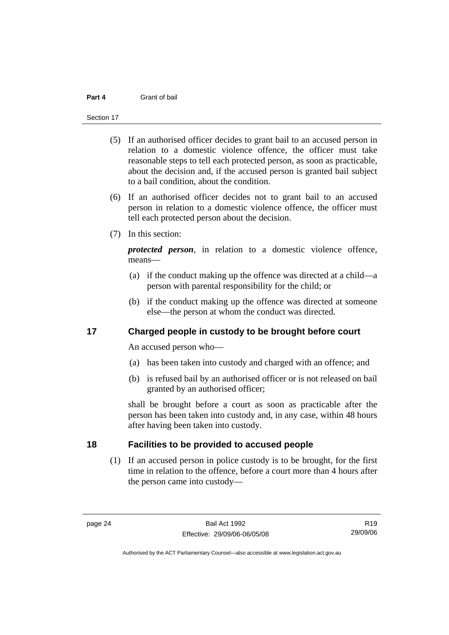#### <span id="page-29-0"></span>**Part 4** Grant of bail

#### Section 17

- (5) If an authorised officer decides to grant bail to an accused person in relation to a domestic violence offence, the officer must take reasonable steps to tell each protected person, as soon as practicable, about the decision and, if the accused person is granted bail subject to a bail condition, about the condition.
- (6) If an authorised officer decides not to grant bail to an accused person in relation to a domestic violence offence, the officer must tell each protected person about the decision.
- (7) In this section:

*protected person*, in relation to a domestic violence offence, means—

- (a) if the conduct making up the offence was directed at a child—a person with parental responsibility for the child; or
- (b) if the conduct making up the offence was directed at someone else—the person at whom the conduct was directed.

### **17 Charged people in custody to be brought before court**

An accused person who—

- (a) has been taken into custody and charged with an offence; and
- (b) is refused bail by an authorised officer or is not released on bail granted by an authorised officer;

shall be brought before a court as soon as practicable after the person has been taken into custody and, in any case, within 48 hours after having been taken into custody.

### **18 Facilities to be provided to accused people**

 (1) If an accused person in police custody is to be brought, for the first time in relation to the offence, before a court more than 4 hours after the person came into custody—

R19 29/09/06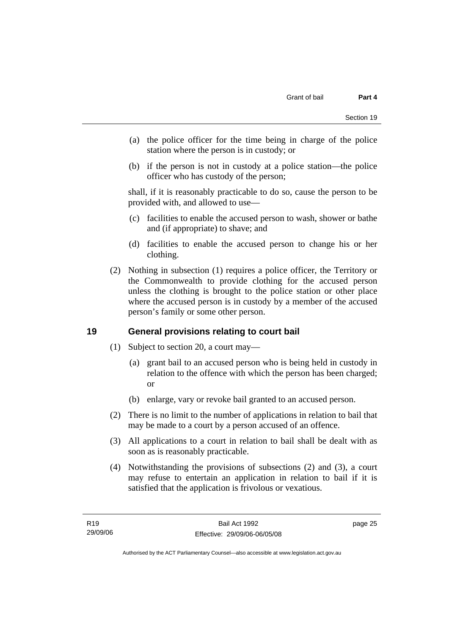- <span id="page-30-0"></span> (a) the police officer for the time being in charge of the police station where the person is in custody; or
- (b) if the person is not in custody at a police station—the police officer who has custody of the person;

shall, if it is reasonably practicable to do so, cause the person to be provided with, and allowed to use—

- (c) facilities to enable the accused person to wash, shower or bathe and (if appropriate) to shave; and
- (d) facilities to enable the accused person to change his or her clothing.
- (2) Nothing in subsection (1) requires a police officer, the Territory or the Commonwealth to provide clothing for the accused person unless the clothing is brought to the police station or other place where the accused person is in custody by a member of the accused person's family or some other person.

# **19 General provisions relating to court bail**

- (1) Subject to section 20, a court may—
	- (a) grant bail to an accused person who is being held in custody in relation to the offence with which the person has been charged; or
	- (b) enlarge, vary or revoke bail granted to an accused person.
- (2) There is no limit to the number of applications in relation to bail that may be made to a court by a person accused of an offence.
- (3) All applications to a court in relation to bail shall be dealt with as soon as is reasonably practicable.
- (4) Notwithstanding the provisions of subsections (2) and (3), a court may refuse to entertain an application in relation to bail if it is satisfied that the application is frivolous or vexatious.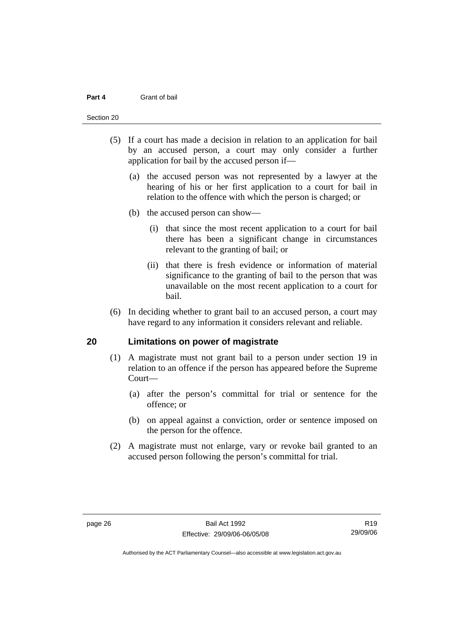#### <span id="page-31-0"></span>**Part 4** Grant of bail

#### Section 20

- (5) If a court has made a decision in relation to an application for bail by an accused person, a court may only consider a further application for bail by the accused person if—
	- (a) the accused person was not represented by a lawyer at the hearing of his or her first application to a court for bail in relation to the offence with which the person is charged; or
	- (b) the accused person can show—
		- (i) that since the most recent application to a court for bail there has been a significant change in circumstances relevant to the granting of bail; or
		- (ii) that there is fresh evidence or information of material significance to the granting of bail to the person that was unavailable on the most recent application to a court for bail.
- (6) In deciding whether to grant bail to an accused person, a court may have regard to any information it considers relevant and reliable.

#### **20 Limitations on power of magistrate**

- (1) A magistrate must not grant bail to a person under section 19 in relation to an offence if the person has appeared before the Supreme Court—
	- (a) after the person's committal for trial or sentence for the offence; or
	- (b) on appeal against a conviction, order or sentence imposed on the person for the offence.
- (2) A magistrate must not enlarge, vary or revoke bail granted to an accused person following the person's committal for trial.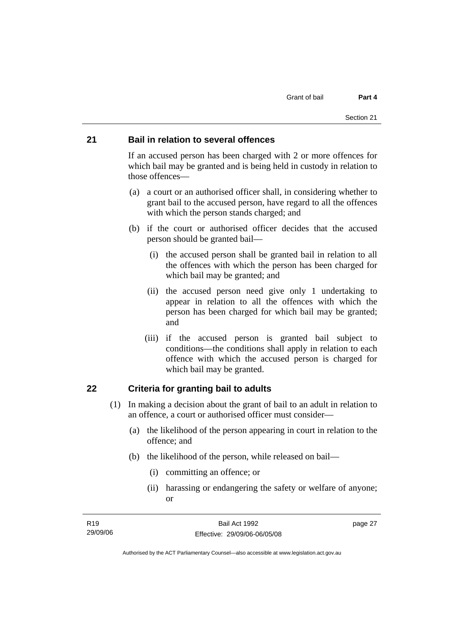#### <span id="page-32-0"></span>**21 Bail in relation to several offences**

If an accused person has been charged with 2 or more offences for which bail may be granted and is being held in custody in relation to those offences—

- (a) a court or an authorised officer shall, in considering whether to grant bail to the accused person, have regard to all the offences with which the person stands charged; and
- (b) if the court or authorised officer decides that the accused person should be granted bail—
	- (i) the accused person shall be granted bail in relation to all the offences with which the person has been charged for which bail may be granted; and
	- (ii) the accused person need give only 1 undertaking to appear in relation to all the offences with which the person has been charged for which bail may be granted; and
	- (iii) if the accused person is granted bail subject to conditions—the conditions shall apply in relation to each offence with which the accused person is charged for which bail may be granted.

### **22 Criteria for granting bail to adults**

- (1) In making a decision about the grant of bail to an adult in relation to an offence, a court or authorised officer must consider—
	- (a) the likelihood of the person appearing in court in relation to the offence; and
	- (b) the likelihood of the person, while released on bail—
		- (i) committing an offence; or
		- (ii) harassing or endangering the safety or welfare of anyone; or

| R19      | Bail Act 1992                | page 27 |
|----------|------------------------------|---------|
| 29/09/06 | Effective: 29/09/06-06/05/08 |         |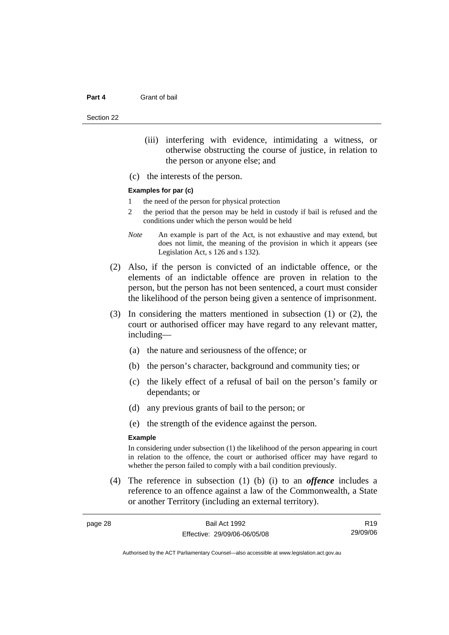Section 22

- (iii) interfering with evidence, intimidating a witness, or otherwise obstructing the course of justice, in relation to the person or anyone else; and
- (c) the interests of the person.

#### **Examples for par (c)**

- 1 the need of the person for physical protection
- 2 the period that the person may be held in custody if bail is refused and the conditions under which the person would be held
- *Note* An example is part of the Act, is not exhaustive and may extend, but does not limit, the meaning of the provision in which it appears (see Legislation Act, s 126 and s 132).
- (2) Also, if the person is convicted of an indictable offence, or the elements of an indictable offence are proven in relation to the person, but the person has not been sentenced, a court must consider the likelihood of the person being given a sentence of imprisonment.
- (3) In considering the matters mentioned in subsection (1) or (2), the court or authorised officer may have regard to any relevant matter, including—
	- (a) the nature and seriousness of the offence; or
	- (b) the person's character, background and community ties; or
	- (c) the likely effect of a refusal of bail on the person's family or dependants; or
	- (d) any previous grants of bail to the person; or
	- (e) the strength of the evidence against the person.

#### **Example**

In considering under subsection (1) the likelihood of the person appearing in court in relation to the offence, the court or authorised officer may have regard to whether the person failed to comply with a bail condition previously.

 (4) The reference in subsection (1) (b) (i) to an *offence* includes a reference to an offence against a law of the Commonwealth, a State or another Territory (including an external territory).

| page 28 | Bail Act 1992                | R <sub>19</sub> |
|---------|------------------------------|-----------------|
|         | Effective: 29/09/06-06/05/08 | 29/09/06        |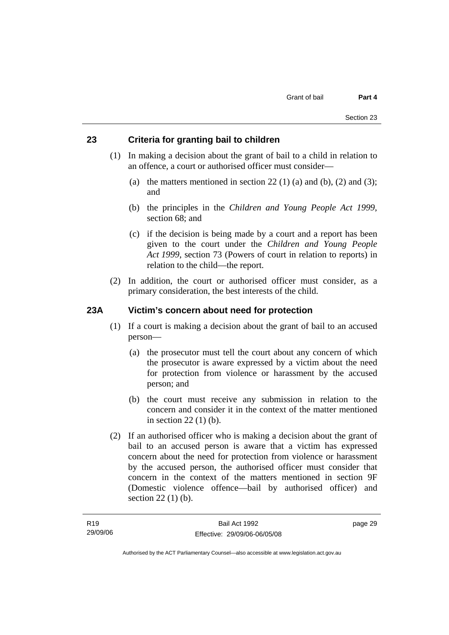#### <span id="page-34-0"></span>**23 Criteria for granting bail to children**

- (1) In making a decision about the grant of bail to a child in relation to an offence, a court or authorised officer must consider—
	- (a) the matters mentioned in section 22 (1) (a) and (b), (2) and (3); and
	- (b) the principles in the *Children and Young People Act 1999*, section 68; and
	- (c) if the decision is being made by a court and a report has been given to the court under the *Children and Young People Act 1999*, section 73 (Powers of court in relation to reports) in relation to the child—the report.
- (2) In addition, the court or authorised officer must consider, as a primary consideration, the best interests of the child.

#### **23A Victim's concern about need for protection**

- (1) If a court is making a decision about the grant of bail to an accused person—
	- (a) the prosecutor must tell the court about any concern of which the prosecutor is aware expressed by a victim about the need for protection from violence or harassment by the accused person; and
	- (b) the court must receive any submission in relation to the concern and consider it in the context of the matter mentioned in section 22 (1) (b).
- (2) If an authorised officer who is making a decision about the grant of bail to an accused person is aware that a victim has expressed concern about the need for protection from violence or harassment by the accused person, the authorised officer must consider that concern in the context of the matters mentioned in section 9F (Domestic violence offence—bail by authorised officer) and section 22 (1) (b).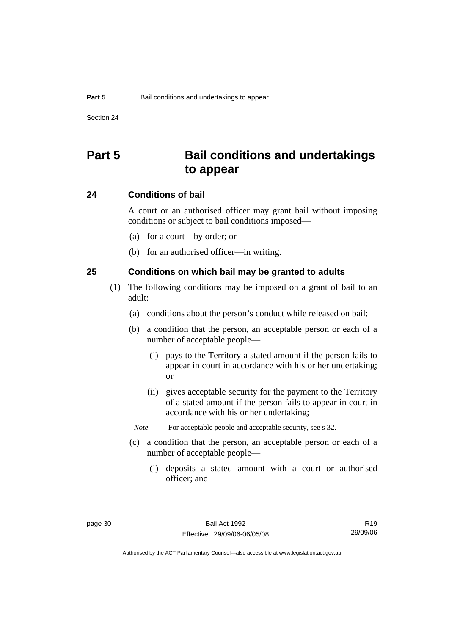# <span id="page-35-0"></span>**Part 5 Bail conditions and undertakings to appear**

#### **24 Conditions of bail**

A court or an authorised officer may grant bail without imposing conditions or subject to bail conditions imposed—

- (a) for a court—by order; or
- (b) for an authorised officer—in writing.

#### **25 Conditions on which bail may be granted to adults**

- (1) The following conditions may be imposed on a grant of bail to an adult:
	- (a) conditions about the person's conduct while released on bail;
	- (b) a condition that the person, an acceptable person or each of a number of acceptable people—
		- (i) pays to the Territory a stated amount if the person fails to appear in court in accordance with his or her undertaking; or
		- (ii) gives acceptable security for the payment to the Territory of a stated amount if the person fails to appear in court in accordance with his or her undertaking;
		- *Note* For acceptable people and acceptable security, see s 32.
	- (c) a condition that the person, an acceptable person or each of a number of acceptable people—
		- (i) deposits a stated amount with a court or authorised officer; and

R19 29/09/06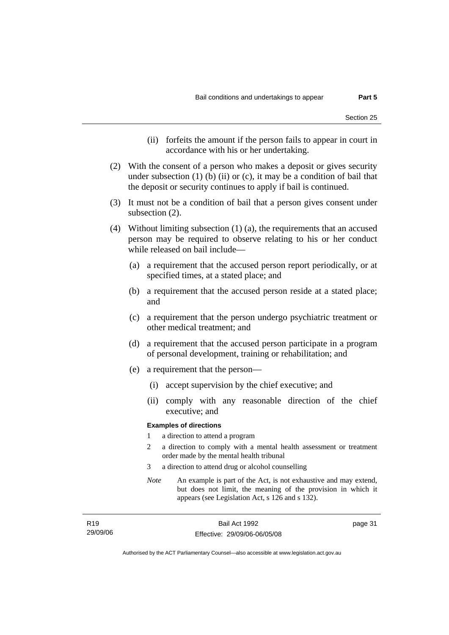- (ii) forfeits the amount if the person fails to appear in court in accordance with his or her undertaking.
- (2) With the consent of a person who makes a deposit or gives security under subsection  $(1)$  (b)  $(ii)$  or  $(c)$ , it may be a condition of bail that the deposit or security continues to apply if bail is continued.
- (3) It must not be a condition of bail that a person gives consent under subsection (2).
- (4) Without limiting subsection (1) (a), the requirements that an accused person may be required to observe relating to his or her conduct while released on bail include—
	- (a) a requirement that the accused person report periodically, or at specified times, at a stated place; and
	- (b) a requirement that the accused person reside at a stated place; and
	- (c) a requirement that the person undergo psychiatric treatment or other medical treatment; and
	- (d) a requirement that the accused person participate in a program of personal development, training or rehabilitation; and
	- (e) a requirement that the person—
		- (i) accept supervision by the chief executive; and
		- (ii) comply with any reasonable direction of the chief executive; and

#### **Examples of directions**

- 1 a direction to attend a program
- 2 a direction to comply with a mental health assessment or treatment order made by the mental health tribunal
- 3 a direction to attend drug or alcohol counselling
- *Note* An example is part of the Act, is not exhaustive and may extend, but does not limit, the meaning of the provision in which it appears (see Legislation Act, s 126 and s 132).

page 31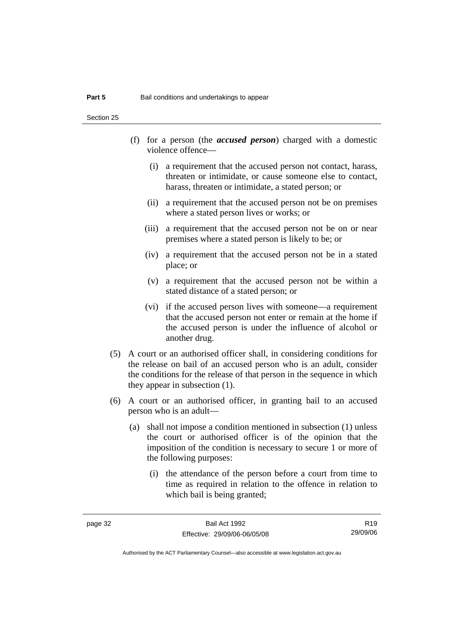Section 25

- (f) for a person (the *accused person*) charged with a domestic violence offence—
	- (i) a requirement that the accused person not contact, harass, threaten or intimidate, or cause someone else to contact, harass, threaten or intimidate, a stated person; or
	- (ii) a requirement that the accused person not be on premises where a stated person lives or works; or
	- (iii) a requirement that the accused person not be on or near premises where a stated person is likely to be; or
	- (iv) a requirement that the accused person not be in a stated place; or
	- (v) a requirement that the accused person not be within a stated distance of a stated person; or
	- (vi) if the accused person lives with someone—a requirement that the accused person not enter or remain at the home if the accused person is under the influence of alcohol or another drug.
- (5) A court or an authorised officer shall, in considering conditions for the release on bail of an accused person who is an adult, consider the conditions for the release of that person in the sequence in which they appear in subsection (1).
- (6) A court or an authorised officer, in granting bail to an accused person who is an adult—
	- (a) shall not impose a condition mentioned in subsection (1) unless the court or authorised officer is of the opinion that the imposition of the condition is necessary to secure 1 or more of the following purposes:
		- (i) the attendance of the person before a court from time to time as required in relation to the offence in relation to which bail is being granted;

R19 29/09/06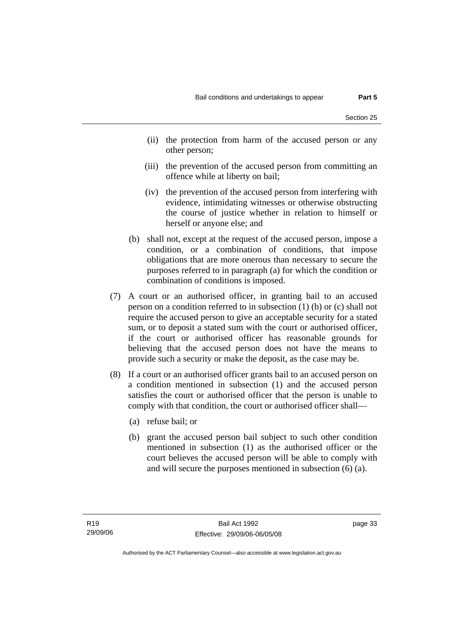- (ii) the protection from harm of the accused person or any other person;
- (iii) the prevention of the accused person from committing an offence while at liberty on bail;
- (iv) the prevention of the accused person from interfering with evidence, intimidating witnesses or otherwise obstructing the course of justice whether in relation to himself or herself or anyone else; and
- (b) shall not, except at the request of the accused person, impose a condition, or a combination of conditions, that impose obligations that are more onerous than necessary to secure the purposes referred to in paragraph (a) for which the condition or combination of conditions is imposed.
- (7) A court or an authorised officer, in granting bail to an accused person on a condition referred to in subsection (1) (b) or (c) shall not require the accused person to give an acceptable security for a stated sum, or to deposit a stated sum with the court or authorised officer, if the court or authorised officer has reasonable grounds for believing that the accused person does not have the means to provide such a security or make the deposit, as the case may be.
- (8) If a court or an authorised officer grants bail to an accused person on a condition mentioned in subsection (1) and the accused person satisfies the court or authorised officer that the person is unable to comply with that condition, the court or authorised officer shall—
	- (a) refuse bail; or
	- (b) grant the accused person bail subject to such other condition mentioned in subsection (1) as the authorised officer or the court believes the accused person will be able to comply with and will secure the purposes mentioned in subsection (6) (a).

page 33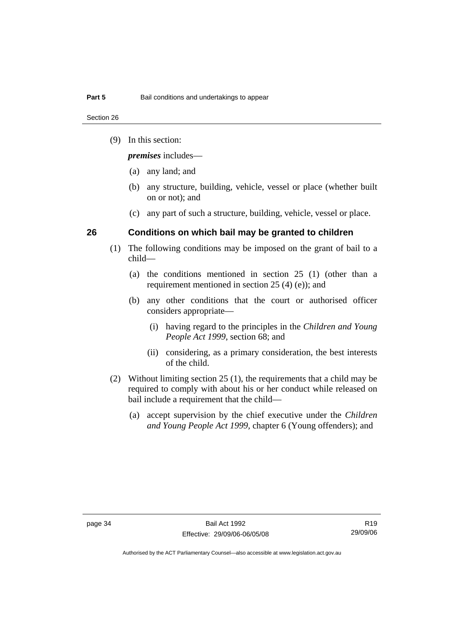Section 26

(9) In this section:

*premises* includes—

- (a) any land; and
- (b) any structure, building, vehicle, vessel or place (whether built on or not); and
- (c) any part of such a structure, building, vehicle, vessel or place.

#### **26 Conditions on which bail may be granted to children**

- (1) The following conditions may be imposed on the grant of bail to a child—
	- (a) the conditions mentioned in section 25 (1) (other than a requirement mentioned in section 25 (4) (e)); and
	- (b) any other conditions that the court or authorised officer considers appropriate—
		- (i) having regard to the principles in the *Children and Young People Act 1999*, section 68; and
		- (ii) considering, as a primary consideration, the best interests of the child.
- (2) Without limiting section 25 (1), the requirements that a child may be required to comply with about his or her conduct while released on bail include a requirement that the child—
	- (a) accept supervision by the chief executive under the *Children and Young People Act 1999,* chapter 6 (Young offenders); and

R19 29/09/06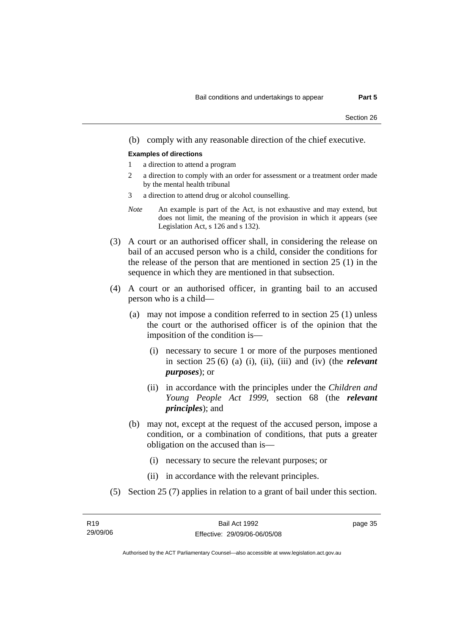(b) comply with any reasonable direction of the chief executive.

#### **Examples of directions**

- 1 a direction to attend a program
- 2 a direction to comply with an order for assessment or a treatment order made by the mental health tribunal
- 3 a direction to attend drug or alcohol counselling.
- *Note* An example is part of the Act, is not exhaustive and may extend, but does not limit, the meaning of the provision in which it appears (see Legislation Act, s 126 and s 132).
- (3) A court or an authorised officer shall, in considering the release on bail of an accused person who is a child, consider the conditions for the release of the person that are mentioned in section 25 (1) in the sequence in which they are mentioned in that subsection.
- (4) A court or an authorised officer, in granting bail to an accused person who is a child—
	- (a) may not impose a condition referred to in section 25 (1) unless the court or the authorised officer is of the opinion that the imposition of the condition is—
		- (i) necessary to secure 1 or more of the purposes mentioned in section 25 (6) (a) (i), (ii), (iii) and (iv) (the *relevant purposes*); or
		- (ii) in accordance with the principles under the *Children and Young People Act 1999*, section 68 (the *relevant principles*); and
	- (b) may not, except at the request of the accused person, impose a condition, or a combination of conditions, that puts a greater obligation on the accused than is—
		- (i) necessary to secure the relevant purposes; or
		- (ii) in accordance with the relevant principles.
- (5) Section 25 (7) applies in relation to a grant of bail under this section.

| R <sub>19</sub> | Bail Act 1992                | page 35 |
|-----------------|------------------------------|---------|
| 29/09/06        | Effective: 29/09/06-06/05/08 |         |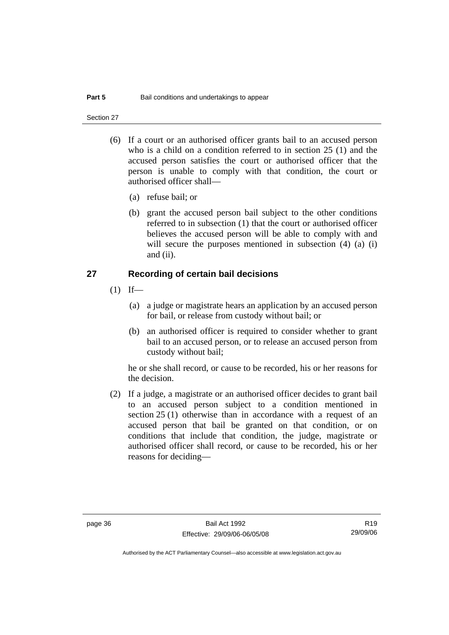Section 27

- (6) If a court or an authorised officer grants bail to an accused person who is a child on a condition referred to in section 25 (1) and the accused person satisfies the court or authorised officer that the person is unable to comply with that condition, the court or authorised officer shall—
	- (a) refuse bail; or
	- (b) grant the accused person bail subject to the other conditions referred to in subsection (1) that the court or authorised officer believes the accused person will be able to comply with and will secure the purposes mentioned in subsection (4) (a) (i) and (ii).

#### **27 Recording of certain bail decisions**

- $(1)$  If—
	- (a) a judge or magistrate hears an application by an accused person for bail, or release from custody without bail; or
	- (b) an authorised officer is required to consider whether to grant bail to an accused person, or to release an accused person from custody without bail;

he or she shall record, or cause to be recorded, his or her reasons for the decision.

 (2) If a judge, a magistrate or an authorised officer decides to grant bail to an accused person subject to a condition mentioned in section 25 (1) otherwise than in accordance with a request of an accused person that bail be granted on that condition, or on conditions that include that condition, the judge, magistrate or authorised officer shall record, or cause to be recorded, his or her reasons for deciding—

R19 29/09/06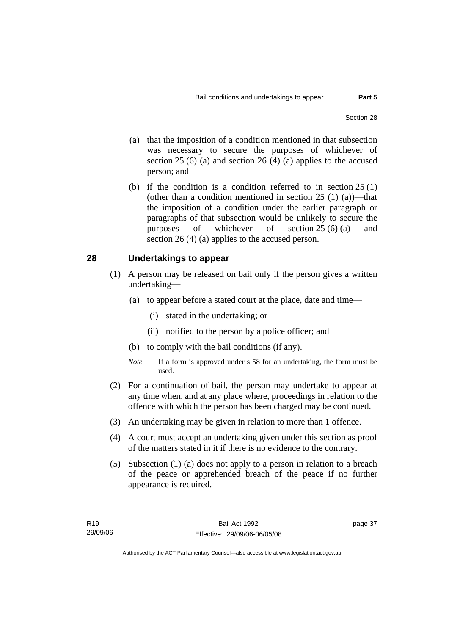- (a) that the imposition of a condition mentioned in that subsection was necessary to secure the purposes of whichever of section  $25(6)$  (a) and section  $26(4)$  (a) applies to the accused person; and
- (b) if the condition is a condition referred to in section 25 (1) (other than a condition mentioned in section  $25(1)(a)$ —that the imposition of a condition under the earlier paragraph or paragraphs of that subsection would be unlikely to secure the purposes of whichever of section 25 (6) (a) and section 26 (4) (a) applies to the accused person.

#### **28 Undertakings to appear**

- (1) A person may be released on bail only if the person gives a written undertaking—
	- (a) to appear before a stated court at the place, date and time—
		- (i) stated in the undertaking; or
		- (ii) notified to the person by a police officer; and
	- (b) to comply with the bail conditions (if any).
	- *Note* If a form is approved under s 58 for an undertaking, the form must be used.
- (2) For a continuation of bail, the person may undertake to appear at any time when, and at any place where, proceedings in relation to the offence with which the person has been charged may be continued.
- (3) An undertaking may be given in relation to more than 1 offence.
- (4) A court must accept an undertaking given under this section as proof of the matters stated in it if there is no evidence to the contrary.
- (5) Subsection (1) (a) does not apply to a person in relation to a breach of the peace or apprehended breach of the peace if no further appearance is required.

page 37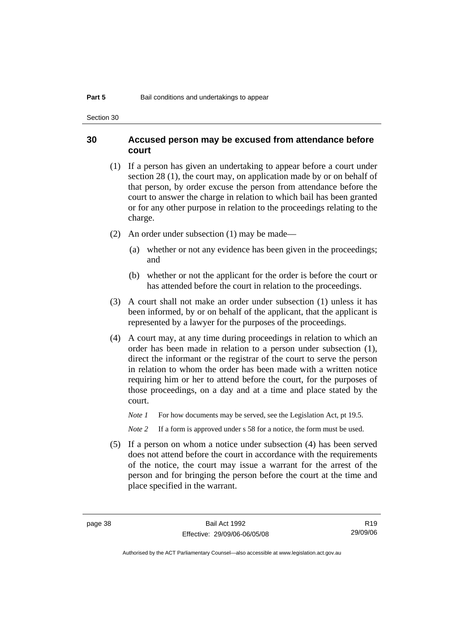Section 30

#### **30 Accused person may be excused from attendance before court**

- (1) If a person has given an undertaking to appear before a court under section 28 (1), the court may, on application made by or on behalf of that person, by order excuse the person from attendance before the court to answer the charge in relation to which bail has been granted or for any other purpose in relation to the proceedings relating to the charge.
- (2) An order under subsection (1) may be made—
	- (a) whether or not any evidence has been given in the proceedings; and
	- (b) whether or not the applicant for the order is before the court or has attended before the court in relation to the proceedings.
- (3) A court shall not make an order under subsection (1) unless it has been informed, by or on behalf of the applicant, that the applicant is represented by a lawyer for the purposes of the proceedings.
- (4) A court may, at any time during proceedings in relation to which an order has been made in relation to a person under subsection (1), direct the informant or the registrar of the court to serve the person in relation to whom the order has been made with a written notice requiring him or her to attend before the court, for the purposes of those proceedings, on a day and at a time and place stated by the court.

*Note 1* For how documents may be served, see the Legislation Act, pt 19.5.

*Note* 2 If a form is approved under s 58 for a notice, the form must be used.

 (5) If a person on whom a notice under subsection (4) has been served does not attend before the court in accordance with the requirements of the notice, the court may issue a warrant for the arrest of the person and for bringing the person before the court at the time and place specified in the warrant.

R19 29/09/06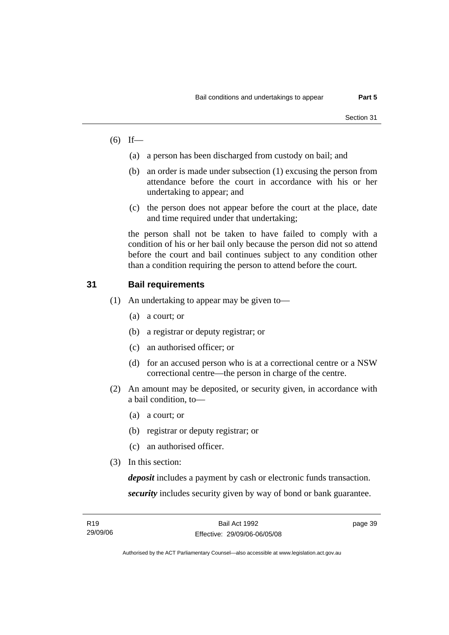- $(6)$  If—
	- (a) a person has been discharged from custody on bail; and
	- (b) an order is made under subsection (1) excusing the person from attendance before the court in accordance with his or her undertaking to appear; and
	- (c) the person does not appear before the court at the place, date and time required under that undertaking;

the person shall not be taken to have failed to comply with a condition of his or her bail only because the person did not so attend before the court and bail continues subject to any condition other than a condition requiring the person to attend before the court.

#### **31 Bail requirements**

- (1) An undertaking to appear may be given to—
	- (a) a court; or
	- (b) a registrar or deputy registrar; or
	- (c) an authorised officer; or
	- (d) for an accused person who is at a correctional centre or a NSW correctional centre—the person in charge of the centre.
- (2) An amount may be deposited, or security given, in accordance with a bail condition, to—
	- (a) a court; or
	- (b) registrar or deputy registrar; or
	- (c) an authorised officer.
- (3) In this section:

*deposit* includes a payment by cash or electronic funds transaction. *security* includes security given by way of bond or bank guarantee.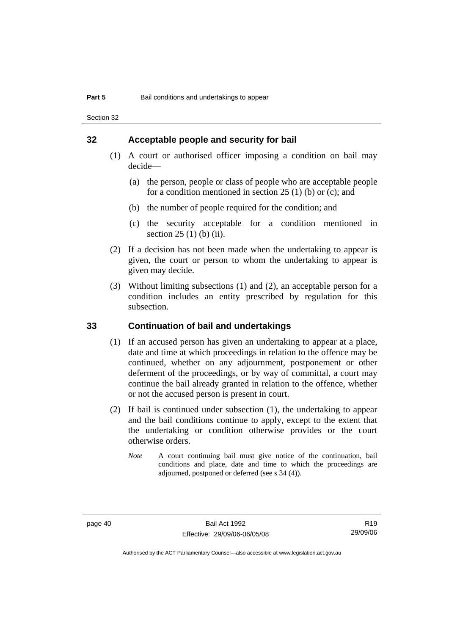Section 32

#### **32 Acceptable people and security for bail**

- (1) A court or authorised officer imposing a condition on bail may decide—
	- (a) the person, people or class of people who are acceptable people for a condition mentioned in section  $25(1)$  (b) or (c); and
	- (b) the number of people required for the condition; and
	- (c) the security acceptable for a condition mentioned in section 25 (1) (b) (ii).
- (2) If a decision has not been made when the undertaking to appear is given, the court or person to whom the undertaking to appear is given may decide.
- (3) Without limiting subsections (1) and (2), an acceptable person for a condition includes an entity prescribed by regulation for this subsection.

#### **33 Continuation of bail and undertakings**

- (1) If an accused person has given an undertaking to appear at a place, date and time at which proceedings in relation to the offence may be continued, whether on any adjournment, postponement or other deferment of the proceedings, or by way of committal, a court may continue the bail already granted in relation to the offence, whether or not the accused person is present in court.
- (2) If bail is continued under subsection (1), the undertaking to appear and the bail conditions continue to apply, except to the extent that the undertaking or condition otherwise provides or the court otherwise orders.
	- *Note* A court continuing bail must give notice of the continuation, bail conditions and place, date and time to which the proceedings are adjourned, postponed or deferred (see s 34 (4)).

R19 29/09/06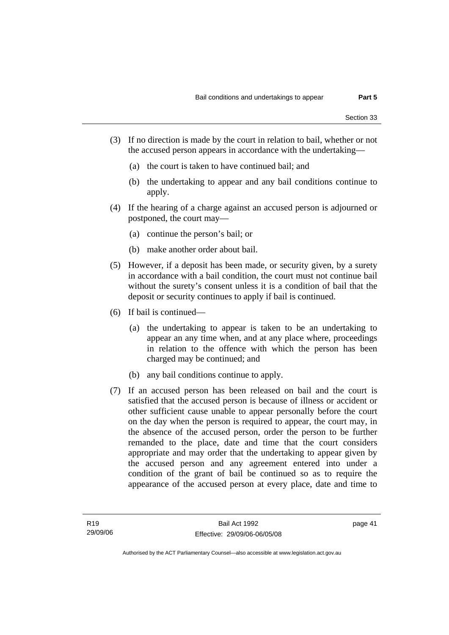- (3) If no direction is made by the court in relation to bail, whether or not the accused person appears in accordance with the undertaking—
	- (a) the court is taken to have continued bail; and
	- (b) the undertaking to appear and any bail conditions continue to apply.
- (4) If the hearing of a charge against an accused person is adjourned or postponed, the court may—
	- (a) continue the person's bail; or
	- (b) make another order about bail.
- (5) However, if a deposit has been made, or security given, by a surety in accordance with a bail condition, the court must not continue bail without the surety's consent unless it is a condition of bail that the deposit or security continues to apply if bail is continued.
- (6) If bail is continued—
	- (a) the undertaking to appear is taken to be an undertaking to appear an any time when, and at any place where, proceedings in relation to the offence with which the person has been charged may be continued; and
	- (b) any bail conditions continue to apply.
- (7) If an accused person has been released on bail and the court is satisfied that the accused person is because of illness or accident or other sufficient cause unable to appear personally before the court on the day when the person is required to appear, the court may, in the absence of the accused person, order the person to be further remanded to the place, date and time that the court considers appropriate and may order that the undertaking to appear given by the accused person and any agreement entered into under a condition of the grant of bail be continued so as to require the appearance of the accused person at every place, date and time to

page 41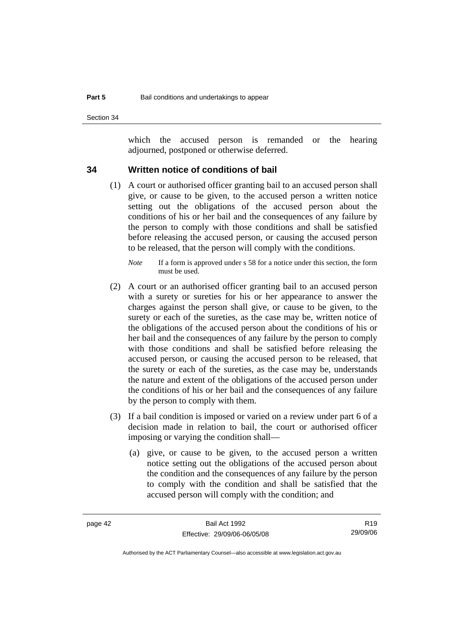Section 34

which the accused person is remanded or the hearing adjourned, postponed or otherwise deferred.

#### **34 Written notice of conditions of bail**

 (1) A court or authorised officer granting bail to an accused person shall give, or cause to be given, to the accused person a written notice setting out the obligations of the accused person about the conditions of his or her bail and the consequences of any failure by the person to comply with those conditions and shall be satisfied before releasing the accused person, or causing the accused person to be released, that the person will comply with the conditions.

- (2) A court or an authorised officer granting bail to an accused person with a surety or sureties for his or her appearance to answer the charges against the person shall give, or cause to be given, to the surety or each of the sureties, as the case may be, written notice of the obligations of the accused person about the conditions of his or her bail and the consequences of any failure by the person to comply with those conditions and shall be satisfied before releasing the accused person, or causing the accused person to be released, that the surety or each of the sureties, as the case may be, understands the nature and extent of the obligations of the accused person under the conditions of his or her bail and the consequences of any failure by the person to comply with them.
- (3) If a bail condition is imposed or varied on a review under part 6 of a decision made in relation to bail, the court or authorised officer imposing or varying the condition shall—
	- (a) give, or cause to be given, to the accused person a written notice setting out the obligations of the accused person about the condition and the consequences of any failure by the person to comply with the condition and shall be satisfied that the accused person will comply with the condition; and

R19 29/09/06

*Note* If a form is approved under s 58 for a notice under this section, the form must be used.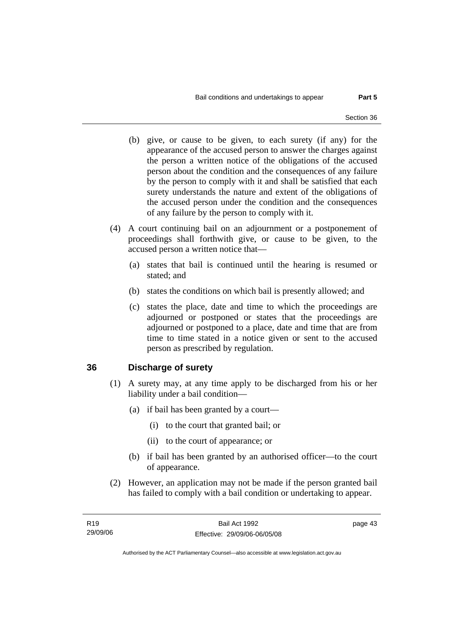- (b) give, or cause to be given, to each surety (if any) for the appearance of the accused person to answer the charges against the person a written notice of the obligations of the accused person about the condition and the consequences of any failure by the person to comply with it and shall be satisfied that each surety understands the nature and extent of the obligations of the accused person under the condition and the consequences of any failure by the person to comply with it.
- (4) A court continuing bail on an adjournment or a postponement of proceedings shall forthwith give, or cause to be given, to the accused person a written notice that—
	- (a) states that bail is continued until the hearing is resumed or stated; and
	- (b) states the conditions on which bail is presently allowed; and
	- (c) states the place, date and time to which the proceedings are adjourned or postponed or states that the proceedings are adjourned or postponed to a place, date and time that are from time to time stated in a notice given or sent to the accused person as prescribed by regulation.

#### **36 Discharge of surety**

- (1) A surety may, at any time apply to be discharged from his or her liability under a bail condition—
	- (a) if bail has been granted by a court—
		- (i) to the court that granted bail; or
		- (ii) to the court of appearance; or
	- (b) if bail has been granted by an authorised officer—to the court of appearance.
- (2) However, an application may not be made if the person granted bail has failed to comply with a bail condition or undertaking to appear.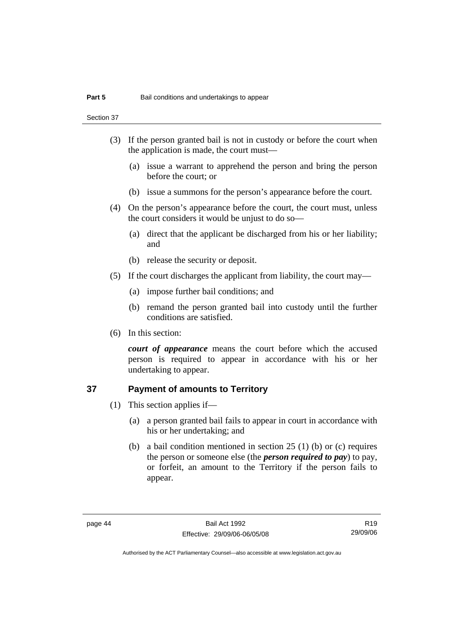Section 37

- (3) If the person granted bail is not in custody or before the court when the application is made, the court must—
	- (a) issue a warrant to apprehend the person and bring the person before the court; or
	- (b) issue a summons for the person's appearance before the court.
- (4) On the person's appearance before the court, the court must, unless the court considers it would be unjust to do so—
	- (a) direct that the applicant be discharged from his or her liability; and
	- (b) release the security or deposit.
- (5) If the court discharges the applicant from liability, the court may—
	- (a) impose further bail conditions; and
	- (b) remand the person granted bail into custody until the further conditions are satisfied.
- (6) In this section:

*court of appearance* means the court before which the accused person is required to appear in accordance with his or her undertaking to appear.

#### **37 Payment of amounts to Territory**

- (1) This section applies if—
	- (a) a person granted bail fails to appear in court in accordance with his or her undertaking; and
	- (b) a bail condition mentioned in section 25 (1) (b) or (c) requires the person or someone else (the *person required to pay*) to pay, or forfeit, an amount to the Territory if the person fails to appear.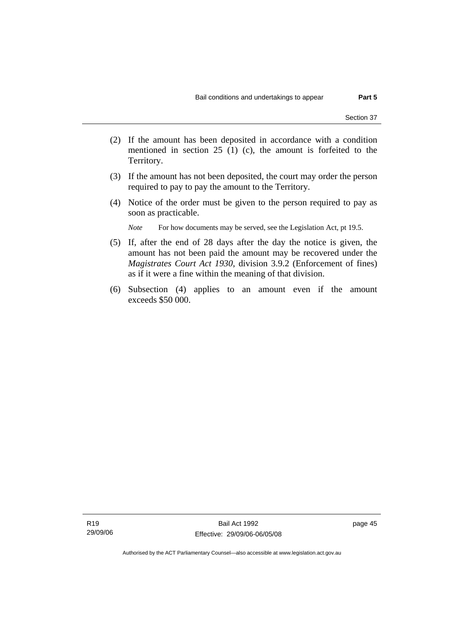- (2) If the amount has been deposited in accordance with a condition mentioned in section 25 (1) (c), the amount is forfeited to the Territory.
- (3) If the amount has not been deposited, the court may order the person required to pay to pay the amount to the Territory.
- (4) Notice of the order must be given to the person required to pay as soon as practicable.

*Note* For how documents may be served, see the Legislation Act, pt 19.5.

- (5) If, after the end of 28 days after the day the notice is given, the amount has not been paid the amount may be recovered under the *Magistrates Court Act 1930*, division 3.9.2 (Enforcement of fines) as if it were a fine within the meaning of that division.
- (6) Subsection (4) applies to an amount even if the amount exceeds \$50 000.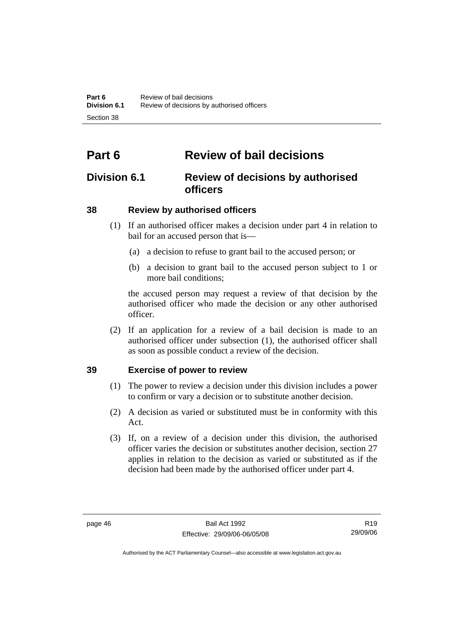# **Part 6 Review of bail decisions**

### **Division 6.1 Review of decisions by authorised officers**

### **38 Review by authorised officers**

- (1) If an authorised officer makes a decision under part 4 in relation to bail for an accused person that is—
	- (a) a decision to refuse to grant bail to the accused person; or
	- (b) a decision to grant bail to the accused person subject to 1 or more bail conditions;

the accused person may request a review of that decision by the authorised officer who made the decision or any other authorised officer.

 (2) If an application for a review of a bail decision is made to an authorised officer under subsection (1), the authorised officer shall as soon as possible conduct a review of the decision.

### **39 Exercise of power to review**

- (1) The power to review a decision under this division includes a power to confirm or vary a decision or to substitute another decision.
- (2) A decision as varied or substituted must be in conformity with this Act.
- (3) If, on a review of a decision under this division, the authorised officer varies the decision or substitutes another decision, section 27 applies in relation to the decision as varied or substituted as if the decision had been made by the authorised officer under part 4.

R19 29/09/06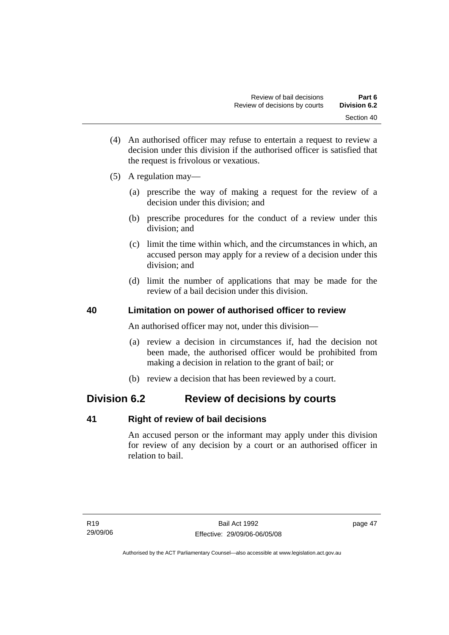- (4) An authorised officer may refuse to entertain a request to review a decision under this division if the authorised officer is satisfied that the request is frivolous or vexatious.
- (5) A regulation may—
	- (a) prescribe the way of making a request for the review of a decision under this division; and
	- (b) prescribe procedures for the conduct of a review under this division; and
	- (c) limit the time within which, and the circumstances in which, an accused person may apply for a review of a decision under this division; and
	- (d) limit the number of applications that may be made for the review of a bail decision under this division.

### **40 Limitation on power of authorised officer to review**

An authorised officer may not, under this division—

- (a) review a decision in circumstances if, had the decision not been made, the authorised officer would be prohibited from making a decision in relation to the grant of bail; or
- (b) review a decision that has been reviewed by a court.

### **Division 6.2 Review of decisions by courts**

#### **41 Right of review of bail decisions**

An accused person or the informant may apply under this division for review of any decision by a court or an authorised officer in relation to bail.

page 47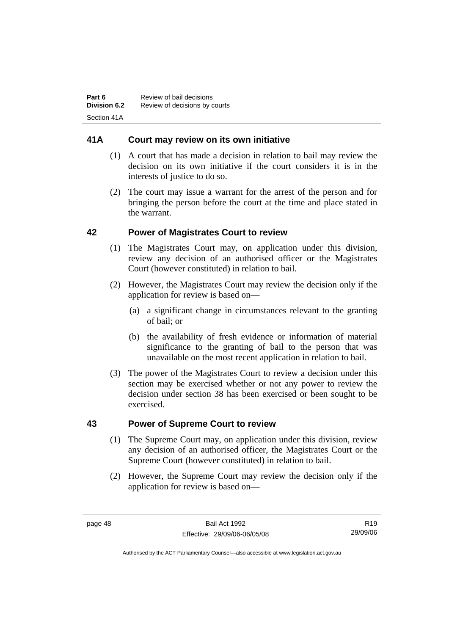### **41A Court may review on its own initiative**

- (1) A court that has made a decision in relation to bail may review the decision on its own initiative if the court considers it is in the interests of justice to do so.
- (2) The court may issue a warrant for the arrest of the person and for bringing the person before the court at the time and place stated in the warrant.

### **42 Power of Magistrates Court to review**

- (1) The Magistrates Court may, on application under this division, review any decision of an authorised officer or the Magistrates Court (however constituted) in relation to bail.
- (2) However, the Magistrates Court may review the decision only if the application for review is based on—
	- (a) a significant change in circumstances relevant to the granting of bail; or
	- (b) the availability of fresh evidence or information of material significance to the granting of bail to the person that was unavailable on the most recent application in relation to bail.
- (3) The power of the Magistrates Court to review a decision under this section may be exercised whether or not any power to review the decision under section 38 has been exercised or been sought to be exercised.

#### **43 Power of Supreme Court to review**

- (1) The Supreme Court may, on application under this division, review any decision of an authorised officer, the Magistrates Court or the Supreme Court (however constituted) in relation to bail.
- (2) However, the Supreme Court may review the decision only if the application for review is based on—

R19 29/09/06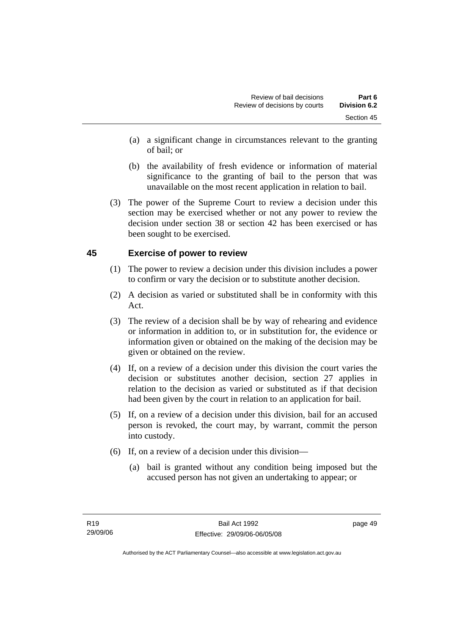- (a) a significant change in circumstances relevant to the granting of bail; or
- (b) the availability of fresh evidence or information of material significance to the granting of bail to the person that was unavailable on the most recent application in relation to bail.
- (3) The power of the Supreme Court to review a decision under this section may be exercised whether or not any power to review the decision under section 38 or section 42 has been exercised or has been sought to be exercised.

### **45 Exercise of power to review**

- (1) The power to review a decision under this division includes a power to confirm or vary the decision or to substitute another decision.
- (2) A decision as varied or substituted shall be in conformity with this Act.
- (3) The review of a decision shall be by way of rehearing and evidence or information in addition to, or in substitution for, the evidence or information given or obtained on the making of the decision may be given or obtained on the review.
- (4) If, on a review of a decision under this division the court varies the decision or substitutes another decision, section 27 applies in relation to the decision as varied or substituted as if that decision had been given by the court in relation to an application for bail.
- (5) If, on a review of a decision under this division, bail for an accused person is revoked, the court may, by warrant, commit the person into custody.
- (6) If, on a review of a decision under this division—
	- (a) bail is granted without any condition being imposed but the accused person has not given an undertaking to appear; or

page 49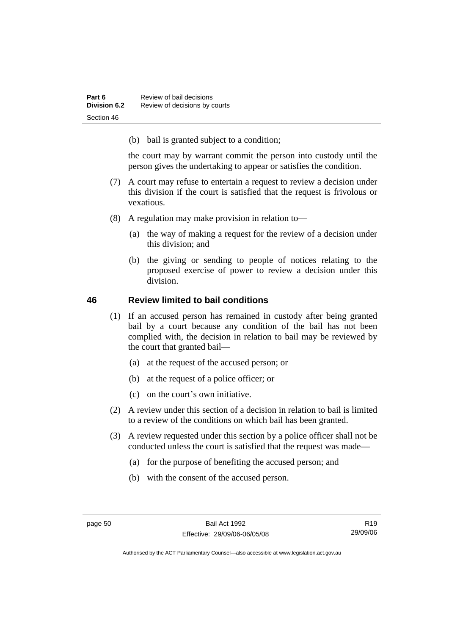(b) bail is granted subject to a condition;

the court may by warrant commit the person into custody until the person gives the undertaking to appear or satisfies the condition.

- (7) A court may refuse to entertain a request to review a decision under this division if the court is satisfied that the request is frivolous or vexatious.
- (8) A regulation may make provision in relation to—
	- (a) the way of making a request for the review of a decision under this division; and
	- (b) the giving or sending to people of notices relating to the proposed exercise of power to review a decision under this division.

#### **46 Review limited to bail conditions**

- (1) If an accused person has remained in custody after being granted bail by a court because any condition of the bail has not been complied with, the decision in relation to bail may be reviewed by the court that granted bail—
	- (a) at the request of the accused person; or
	- (b) at the request of a police officer; or
	- (c) on the court's own initiative.
- (2) A review under this section of a decision in relation to bail is limited to a review of the conditions on which bail has been granted.
- (3) A review requested under this section by a police officer shall not be conducted unless the court is satisfied that the request was made—
	- (a) for the purpose of benefiting the accused person; and
	- (b) with the consent of the accused person.

R19 29/09/06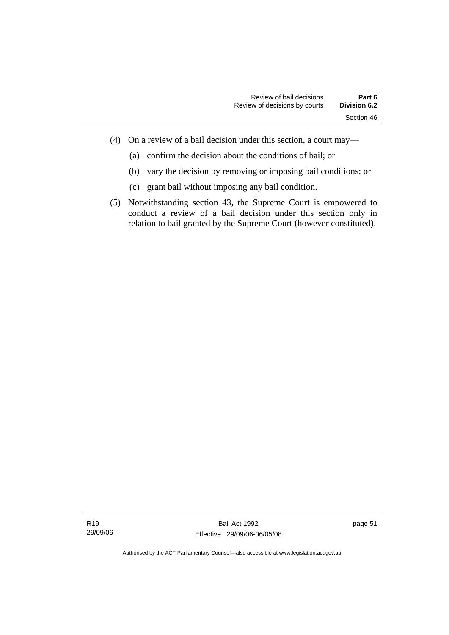- (4) On a review of a bail decision under this section, a court may—
	- (a) confirm the decision about the conditions of bail; or
	- (b) vary the decision by removing or imposing bail conditions; or
	- (c) grant bail without imposing any bail condition.
- (5) Notwithstanding section 43, the Supreme Court is empowered to conduct a review of a bail decision under this section only in relation to bail granted by the Supreme Court (however constituted).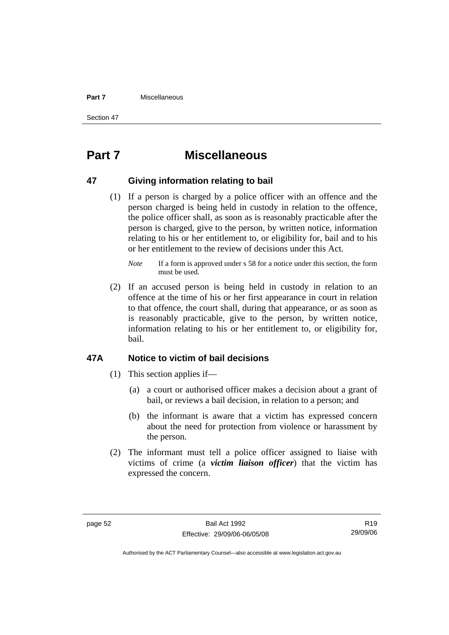#### **Part 7** Miscellaneous

Section 47

# **Part 7 Miscellaneous**

#### **47 Giving information relating to bail**

 (1) If a person is charged by a police officer with an offence and the person charged is being held in custody in relation to the offence, the police officer shall, as soon as is reasonably practicable after the person is charged, give to the person, by written notice, information relating to his or her entitlement to, or eligibility for, bail and to his or her entitlement to the review of decisions under this Act.

 (2) If an accused person is being held in custody in relation to an offence at the time of his or her first appearance in court in relation to that offence, the court shall, during that appearance, or as soon as is reasonably practicable, give to the person, by written notice, information relating to his or her entitlement to, or eligibility for, bail.

#### **47A Notice to victim of bail decisions**

- (1) This section applies if—
	- (a) a court or authorised officer makes a decision about a grant of bail, or reviews a bail decision, in relation to a person; and
	- (b) the informant is aware that a victim has expressed concern about the need for protection from violence or harassment by the person.
- (2) The informant must tell a police officer assigned to liaise with victims of crime (a *victim liaison officer*) that the victim has expressed the concern.

R19 29/09/06

*Note* If a form is approved under s 58 for a notice under this section, the form must be used.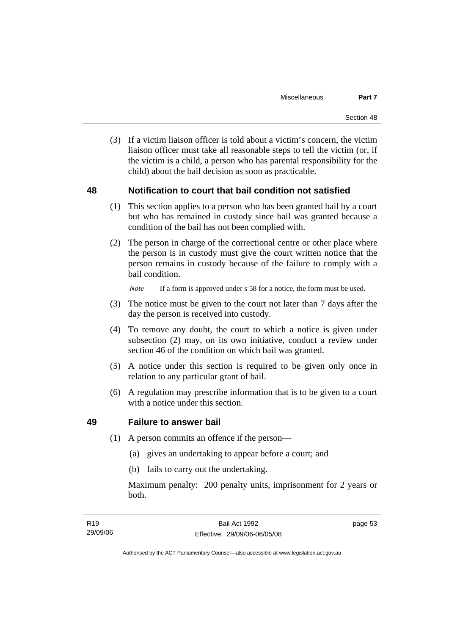(3) If a victim liaison officer is told about a victim's concern, the victim liaison officer must take all reasonable steps to tell the victim (or, if the victim is a child, a person who has parental responsibility for the child) about the bail decision as soon as practicable.

#### **48 Notification to court that bail condition not satisfied**

- (1) This section applies to a person who has been granted bail by a court but who has remained in custody since bail was granted because a condition of the bail has not been complied with.
- (2) The person in charge of the correctional centre or other place where the person is in custody must give the court written notice that the person remains in custody because of the failure to comply with a bail condition.

*Note* If a form is approved under s 58 for a notice, the form must be used.

- (3) The notice must be given to the court not later than 7 days after the day the person is received into custody.
- (4) To remove any doubt, the court to which a notice is given under subsection (2) may, on its own initiative, conduct a review under section 46 of the condition on which bail was granted.
- (5) A notice under this section is required to be given only once in relation to any particular grant of bail.
- (6) A regulation may prescribe information that is to be given to a court with a notice under this section.

#### **49 Failure to answer bail**

- (1) A person commits an offence if the person—
	- (a) gives an undertaking to appear before a court; and
	- (b) fails to carry out the undertaking.

Maximum penalty: 200 penalty units, imprisonment for 2 years or both.

page 53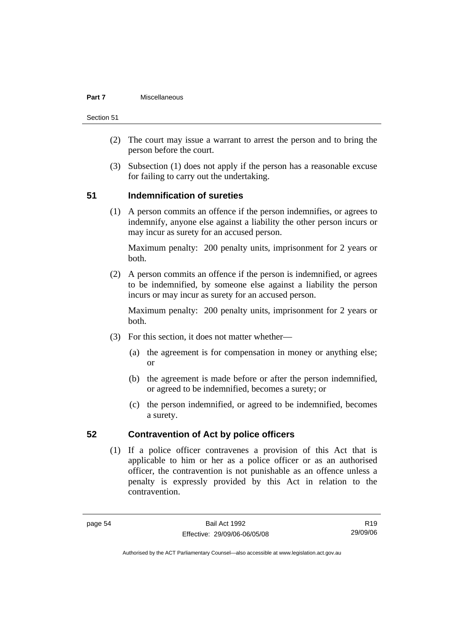#### **Part 7** Miscellaneous

Section 51

- (2) The court may issue a warrant to arrest the person and to bring the person before the court.
- (3) Subsection (1) does not apply if the person has a reasonable excuse for failing to carry out the undertaking.

### **51 Indemnification of sureties**

 (1) A person commits an offence if the person indemnifies, or agrees to indemnify, anyone else against a liability the other person incurs or may incur as surety for an accused person.

Maximum penalty: 200 penalty units, imprisonment for 2 years or both.

 (2) A person commits an offence if the person is indemnified, or agrees to be indemnified, by someone else against a liability the person incurs or may incur as surety for an accused person.

Maximum penalty: 200 penalty units, imprisonment for 2 years or both.

- (3) For this section, it does not matter whether—
	- (a) the agreement is for compensation in money or anything else; or
	- (b) the agreement is made before or after the person indemnified, or agreed to be indemnified, becomes a surety; or
	- (c) the person indemnified, or agreed to be indemnified, becomes a surety.

#### **52 Contravention of Act by police officers**

 (1) If a police officer contravenes a provision of this Act that is applicable to him or her as a police officer or as an authorised officer, the contravention is not punishable as an offence unless a penalty is expressly provided by this Act in relation to the contravention.

R19 29/09/06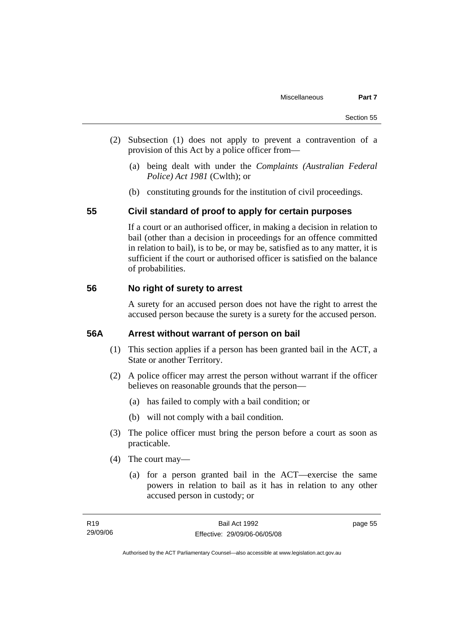- (2) Subsection (1) does not apply to prevent a contravention of a provision of this Act by a police officer from—
	- (a) being dealt with under the *Complaints (Australian Federal Police) Act 1981* (Cwlth); or
	- (b) constituting grounds for the institution of civil proceedings.

#### **55 Civil standard of proof to apply for certain purposes**

If a court or an authorised officer, in making a decision in relation to bail (other than a decision in proceedings for an offence committed in relation to bail), is to be, or may be, satisfied as to any matter, it is sufficient if the court or authorised officer is satisfied on the balance of probabilities.

#### **56 No right of surety to arrest**

A surety for an accused person does not have the right to arrest the accused person because the surety is a surety for the accused person.

#### **56A Arrest without warrant of person on bail**

- (1) This section applies if a person has been granted bail in the ACT, a State or another Territory.
- (2) A police officer may arrest the person without warrant if the officer believes on reasonable grounds that the person—
	- (a) has failed to comply with a bail condition; or
	- (b) will not comply with a bail condition.
- (3) The police officer must bring the person before a court as soon as practicable.
- (4) The court may—
	- (a) for a person granted bail in the ACT—exercise the same powers in relation to bail as it has in relation to any other accused person in custody; or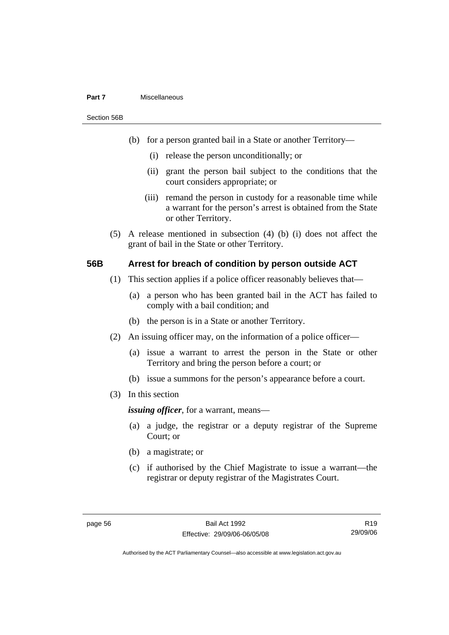#### **Part 7** Miscellaneous

Section 56B

- (b) for a person granted bail in a State or another Territory—
	- (i) release the person unconditionally; or
	- (ii) grant the person bail subject to the conditions that the court considers appropriate; or
	- (iii) remand the person in custody for a reasonable time while a warrant for the person's arrest is obtained from the State or other Territory.
- (5) A release mentioned in subsection (4) (b) (i) does not affect the grant of bail in the State or other Territory.

#### **56B Arrest for breach of condition by person outside ACT**

- (1) This section applies if a police officer reasonably believes that—
	- (a) a person who has been granted bail in the ACT has failed to comply with a bail condition; and
	- (b) the person is in a State or another Territory.
- (2) An issuing officer may, on the information of a police officer—
	- (a) issue a warrant to arrest the person in the State or other Territory and bring the person before a court; or
	- (b) issue a summons for the person's appearance before a court.
- (3) In this section

*issuing officer*, for a warrant, means—

- (a) a judge, the registrar or a deputy registrar of the Supreme Court; or
- (b) a magistrate; or
- (c) if authorised by the Chief Magistrate to issue a warrant—the registrar or deputy registrar of the Magistrates Court.

R19 29/09/06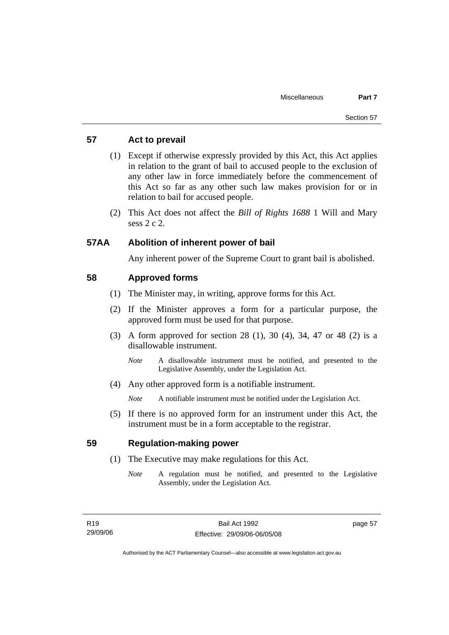### **57 Act to prevail**

- (1) Except if otherwise expressly provided by this Act, this Act applies in relation to the grant of bail to accused people to the exclusion of any other law in force immediately before the commencement of this Act so far as any other such law makes provision for or in relation to bail for accused people.
- (2) This Act does not affect the *Bill of Rights 1688* 1 Will and Mary sess 2 c 2.

#### **57AA Abolition of inherent power of bail**

Any inherent power of the Supreme Court to grant bail is abolished.

#### **58 Approved forms**

- (1) The Minister may, in writing, approve forms for this Act.
- (2) If the Minister approves a form for a particular purpose, the approved form must be used for that purpose.
- (3) A form approved for section 28 (1), 30 (4), 34, 47 or 48 (2) is a disallowable instrument.
	- *Note* A disallowable instrument must be notified, and presented to the Legislative Assembly, under the Legislation Act.
- (4) Any other approved form is a notifiable instrument.

*Note* A notifiable instrument must be notified under the Legislation Act.

 (5) If there is no approved form for an instrument under this Act, the instrument must be in a form acceptable to the registrar.

#### **59 Regulation-making power**

- (1) The Executive may make regulations for this Act.
	- *Note* A regulation must be notified, and presented to the Legislative Assembly, under the Legislation Act.

page 57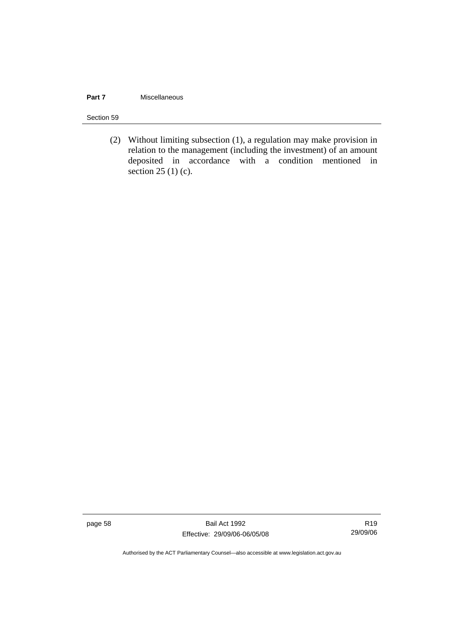#### **Part 7 Miscellaneous**

#### Section 59

 (2) Without limiting subsection (1), a regulation may make provision in relation to the management (including the investment) of an amount deposited in accordance with a condition mentioned in section  $25(1)(c)$ .

page 58 Bail Act 1992 Effective: 29/09/06-06/05/08

R19 29/09/06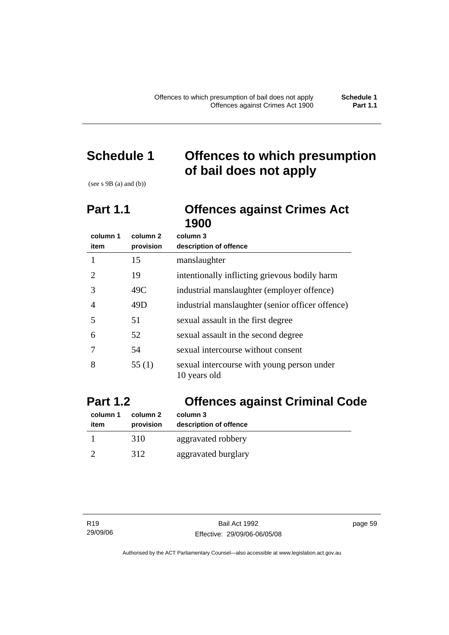# **Schedule 1 Offences to which presumption of bail does not apply**

(see  $s$  9B (a) and (b))

## **Part 1.1 Offences against Crimes Act 1900**

| column 1 | column 2  | column 3                                                   |
|----------|-----------|------------------------------------------------------------|
| item     | provision | description of offence                                     |
|          | 15        | manslaughter                                               |
| 2        | 19        | intentionally inflicting grievous bodily harm              |
| 3        | 49C       | industrial manslaughter (employer offence)                 |
| 4        | 49D       | industrial manslaughter (senior officer offence)           |
| 5        | 51        | sexual assault in the first degree                         |
| 6        | 52        | sexual assault in the second degree                        |
|          | 54        | sexual intercourse without consent                         |
| 8        | 55 $(1)$  | sexual intercourse with young person under<br>10 years old |

# **Part 1.2 Offences against Criminal Code**

| column 1 | column 2  | column 3               |
|----------|-----------|------------------------|
| item     | provision | description of offence |
|          | 310       | aggravated robbery     |
|          | 312       | aggravated burglary    |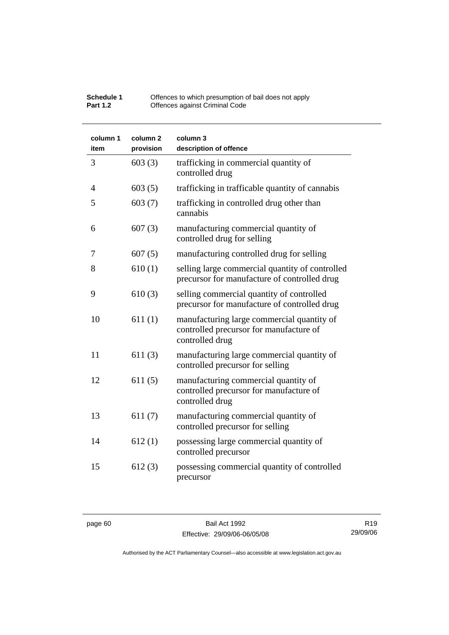| Schedule 1      | Offences to which presumption of bail does not apply |
|-----------------|------------------------------------------------------|
| <b>Part 1.2</b> | Offences against Criminal Code                       |

| column 1<br>item | column <sub>2</sub><br>provision | column 3<br>description of offence                                                                       |
|------------------|----------------------------------|----------------------------------------------------------------------------------------------------------|
| 3                | 603(3)                           | trafficking in commercial quantity of<br>controlled drug                                                 |
| $\overline{4}$   | 603(5)                           | trafficking in trafficable quantity of cannabis                                                          |
| 5                | 603(7)                           | trafficking in controlled drug other than<br>cannabis                                                    |
| 6                | 607(3)                           | manufacturing commercial quantity of<br>controlled drug for selling                                      |
| 7                | 607(5)                           | manufacturing controlled drug for selling                                                                |
| 8                | 610(1)                           | selling large commercial quantity of controlled<br>precursor for manufacture of controlled drug          |
| 9                | 610(3)                           | selling commercial quantity of controlled<br>precursor for manufacture of controlled drug                |
| 10               | 611(1)                           | manufacturing large commercial quantity of<br>controlled precursor for manufacture of<br>controlled drug |
| 11               | 611(3)                           | manufacturing large commercial quantity of<br>controlled precursor for selling                           |
| 12               | 611(5)                           | manufacturing commercial quantity of<br>controlled precursor for manufacture of<br>controlled drug       |
| 13               | 611(7)                           | manufacturing commercial quantity of<br>controlled precursor for selling                                 |
| 14               | 612(1)                           | possessing large commercial quantity of<br>controlled precursor                                          |
| 15               | 612(3)                           | possessing commercial quantity of controlled<br>precursor                                                |

page 60 Bail Act 1992 Effective: 29/09/06-06/05/08

R19 29/09/06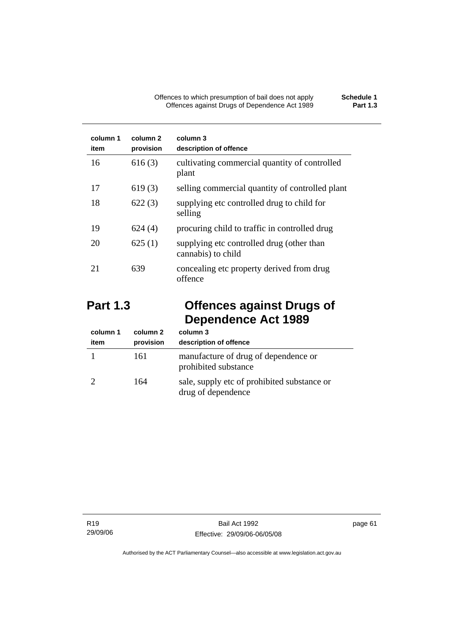| column 1<br>item | column 2<br>provision | column 3<br>description of offence                              |
|------------------|-----------------------|-----------------------------------------------------------------|
| 16               | 616(3)                | cultivating commercial quantity of controlled<br>plant          |
| 17               | 619(3)                | selling commercial quantity of controlled plant                 |
| 18               | 622(3)                | supplying etc controlled drug to child for<br>selling           |
| 19               | 624(4)                | procuring child to traffic in controlled drug                   |
| 20               | 625(1)                | supplying etc controlled drug (other than<br>cannabis) to child |
| 21               | 639                   | concealing etc property derived from drug<br>offence            |

# **Part 1.3 Offences against Drugs of Dependence Act 1989**

| column 1<br>item | column 2<br>provision | column 3<br>description of offence                                |
|------------------|-----------------------|-------------------------------------------------------------------|
|                  | 161                   | manufacture of drug of dependence or<br>prohibited substance      |
|                  | 164                   | sale, supply etc of prohibited substance or<br>drug of dependence |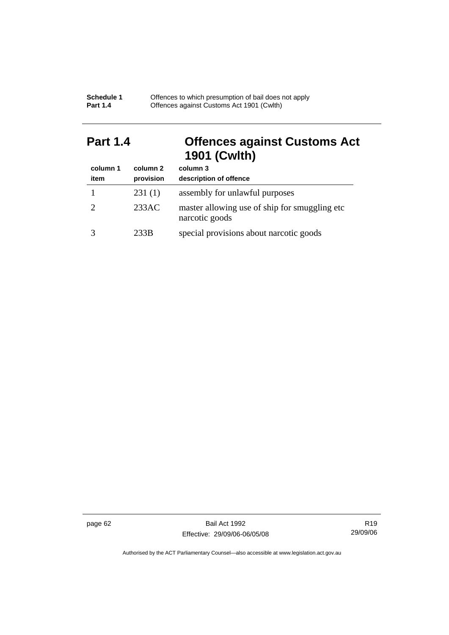| Schedule 1      | Offences to which presumption of bail does not apply |
|-----------------|------------------------------------------------------|
| <b>Part 1.4</b> | Offences against Customs Act 1901 (Cwith)            |

# **Part 1.4 Offences against Customs Act 1901 (Cwlth)**

| column 1 | column 2  | column 3                                                         |
|----------|-----------|------------------------------------------------------------------|
| item     | provision | description of offence                                           |
|          | 231(1)    | assembly for unlawful purposes                                   |
|          | 233AC     | master allowing use of ship for smuggling etc.<br>narcotic goods |
|          | 233B      | special provisions about narcotic goods                          |

page 62 Bail Act 1992 Effective: 29/09/06-06/05/08

R19 29/09/06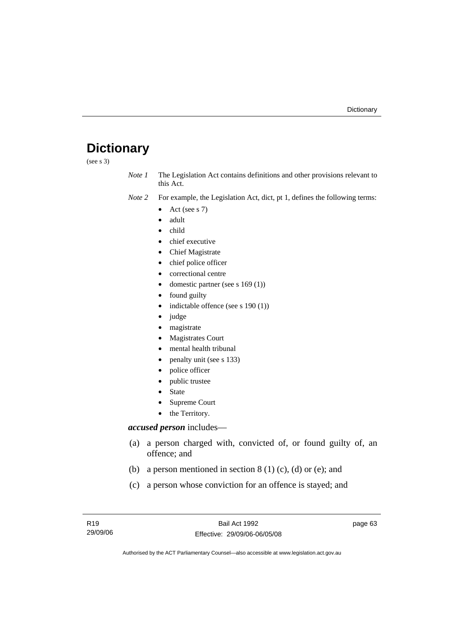# **Dictionary**

(see s 3)

*Note 1* The Legislation Act contains definitions and other provisions relevant to this Act.

- *Note 2* For example, the Legislation Act, dict, pt 1, defines the following terms:
	- Act (see s  $7$ )
	- adult
	- child
	- chief executive
	- Chief Magistrate
	- chief police officer
	- correctional centre
	- domestic partner (see s 169 (1))
	- found guilty
	- indictable offence (see s 190 (1))
	- judge
	- magistrate
	- Magistrates Court
	- mental health tribunal
	- penalty unit (see s 133)
	- police officer
	- public trustee
	- **State**
	- Supreme Court
	- the Territory.

#### *accused person* includes—

- (a) a person charged with, convicted of, or found guilty of, an offence; and
- (b) a person mentioned in section  $8(1)(c)$ , (d) or (e); and
- (c) a person whose conviction for an offence is stayed; and

page 63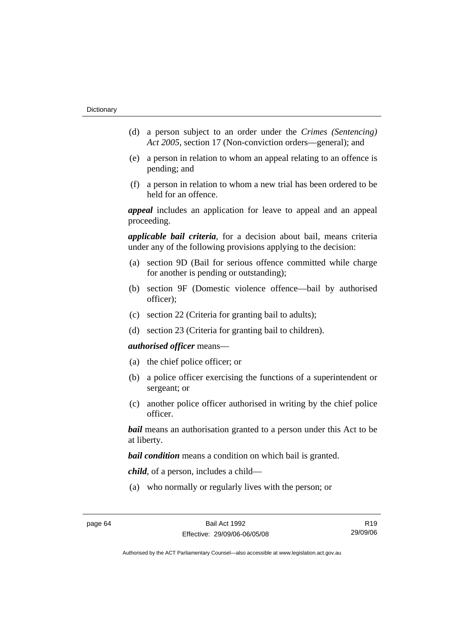- (d) a person subject to an order under the *Crimes (Sentencing) Act 2005*, section 17 (Non-conviction orders—general); and
- (e) a person in relation to whom an appeal relating to an offence is pending; and
- (f) a person in relation to whom a new trial has been ordered to be held for an offence.

*appeal* includes an application for leave to appeal and an appeal proceeding.

*applicable bail criteria*, for a decision about bail, means criteria under any of the following provisions applying to the decision:

- (a) section 9D (Bail for serious offence committed while charge for another is pending or outstanding);
- (b) section 9F (Domestic violence offence—bail by authorised officer);
- (c) section 22 (Criteria for granting bail to adults);
- (d) section 23 (Criteria for granting bail to children).

#### *authorised officer* means—

- (a) the chief police officer; or
- (b) a police officer exercising the functions of a superintendent or sergeant; or
- (c) another police officer authorised in writing by the chief police officer.

*bail* means an authorisation granted to a person under this Act to be at liberty.

*bail condition* means a condition on which bail is granted.

*child*, of a person, includes a child—

(a) who normally or regularly lives with the person; or

R19 29/09/06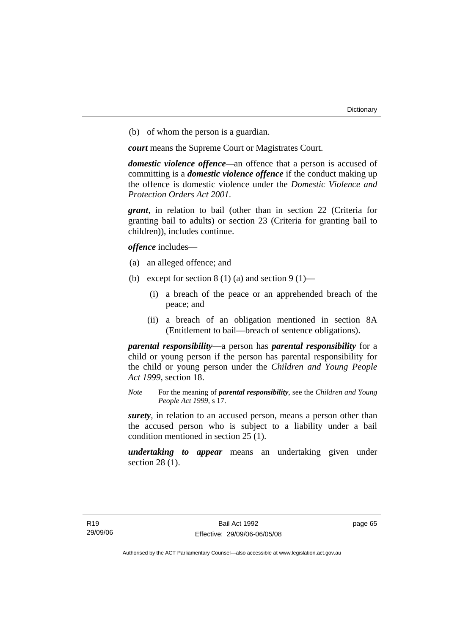(b) of whom the person is a guardian.

*court* means the Supreme Court or Magistrates Court.

*domestic violence offence—*an offence that a person is accused of committing is a *domestic violence offence* if the conduct making up the offence is domestic violence under the *Domestic Violence and Protection Orders Act 2001*.

*grant*, in relation to bail (other than in section 22 (Criteria for granting bail to adults) or section 23 (Criteria for granting bail to children)), includes continue.

*offence* includes—

- (a) an alleged offence; and
- (b) except for section  $8(1)(a)$  and section  $9(1)$ 
	- (i) a breach of the peace or an apprehended breach of the peace; and
	- (ii) a breach of an obligation mentioned in section 8A (Entitlement to bail—breach of sentence obligations).

*parental responsibility*—a person has *parental responsibility* for a child or young person if the person has parental responsibility for the child or young person under the *Children and Young People Act 1999*, section 18.

*Note* For the meaning of *parental responsibility*, see the *Children and Young People Act 1999*, s 17.

*surety*, in relation to an accused person, means a person other than the accused person who is subject to a liability under a bail condition mentioned in section 25 (1).

*undertaking to appear* means an undertaking given under section 28 (1).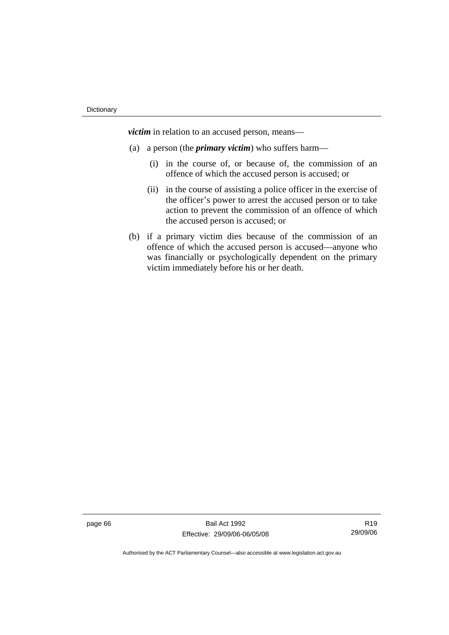*victim* in relation to an accused person, means—

- (a) a person (the *primary victim*) who suffers harm—
	- (i) in the course of, or because of, the commission of an offence of which the accused person is accused; or
	- (ii) in the course of assisting a police officer in the exercise of the officer's power to arrest the accused person or to take action to prevent the commission of an offence of which the accused person is accused; or
- (b) if a primary victim dies because of the commission of an offence of which the accused person is accused—anyone who was financially or psychologically dependent on the primary victim immediately before his or her death.

page 66 Bail Act 1992 Effective: 29/09/06-06/05/08

R19 29/09/06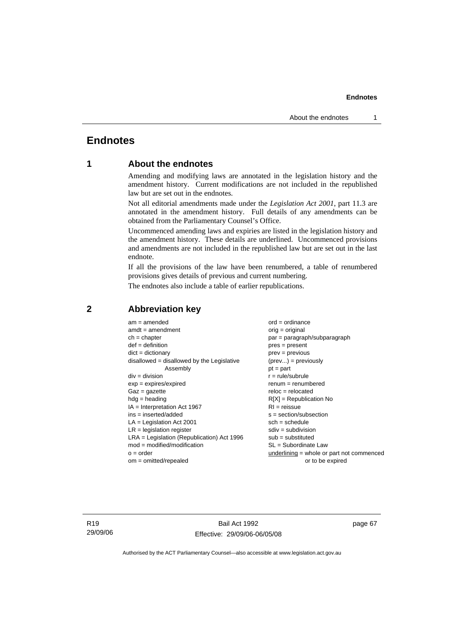# **Endnotes**

# **1 About the endnotes**

Amending and modifying laws are annotated in the legislation history and the amendment history. Current modifications are not included in the republished law but are set out in the endnotes.

Not all editorial amendments made under the *Legislation Act 2001*, part 11.3 are annotated in the amendment history. Full details of any amendments can be obtained from the Parliamentary Counsel's Office.

Uncommenced amending laws and expiries are listed in the legislation history and the amendment history. These details are underlined. Uncommenced provisions and amendments are not included in the republished law but are set out in the last endnote.

If all the provisions of the law have been renumbered, a table of renumbered provisions gives details of previous and current numbering.

The endnotes also include a table of earlier republications.

| $am = amended$                               | $ord = ordinance$                         |  |
|----------------------------------------------|-------------------------------------------|--|
| $amdt = amendment$                           | orig = original                           |  |
| $ch = chapter$                               | par = paragraph/subparagraph              |  |
| $def = definition$                           | $pres = present$                          |  |
| $dict = dictionary$                          | $prev = previous$                         |  |
| disallowed = disallowed by the Legislative   | $(\text{prev}) = \text{previously}$       |  |
| Assembly                                     | $pt = part$                               |  |
| $div = division$                             | $r = rule/subrule$                        |  |
| $exp = expires/expired$                      | $renum = renumbered$                      |  |
| $Gaz = gazette$                              | $reloc = relocated$                       |  |
| $hdg =$ heading                              | $R[X]$ = Republication No                 |  |
| $IA = Interpretation Act 1967$               | $RI = reissue$                            |  |
| $ins = inserted/added$                       | $s = section/subsection$                  |  |
| $LA =$ Legislation Act 2001                  | $sch = schedule$                          |  |
| $LR =$ legislation register                  | $sdiv = subdivision$                      |  |
| $LRA =$ Legislation (Republication) Act 1996 | $sub = substituted$                       |  |
| $mod = modified/modification$                | SL = Subordinate Law                      |  |
| $o = order$                                  | underlining = whole or part not commenced |  |
| $om = omitted/repealed$                      | or to be expired                          |  |
|                                              |                                           |  |

## **2 Abbreviation key**

R19 29/09/06

Bail Act 1992 Effective: 29/09/06-06/05/08 page 67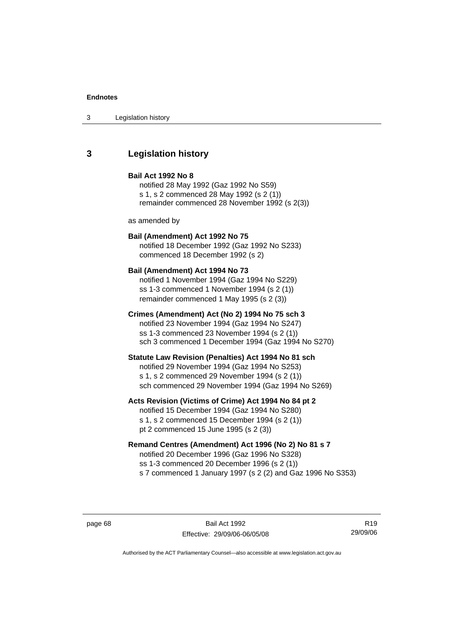## **3 Legislation history**

### **Bail Act 1992 No 8**

notified 28 May 1992 (Gaz 1992 No S59) s 1, s 2 commenced 28 May 1992 (s 2 (1)) remainder commenced 28 November 1992 (s 2(3))

as amended by

# **Bail (Amendment) Act 1992 No 75**

notified 18 December 1992 (Gaz 1992 No S233) commenced 18 December 1992 (s 2)

#### **Bail (Amendment) Act 1994 No 73**

notified 1 November 1994 (Gaz 1994 No S229) ss 1-3 commenced 1 November 1994 (s 2 (1)) remainder commenced 1 May 1995 (s 2 (3))

### **Crimes (Amendment) Act (No 2) 1994 No 75 sch 3**

notified 23 November 1994 (Gaz 1994 No S247) ss 1-3 commenced 23 November 1994 (s 2 (1)) sch 3 commenced 1 December 1994 (Gaz 1994 No S270)

### **Statute Law Revision (Penalties) Act 1994 No 81 sch**

notified 29 November 1994 (Gaz 1994 No S253) s 1, s 2 commenced 29 November 1994 (s 2 (1)) sch commenced 29 November 1994 (Gaz 1994 No S269)

### **Acts Revision (Victims of Crime) Act 1994 No 84 pt 2**

notified 15 December 1994 (Gaz 1994 No S280) s 1, s 2 commenced 15 December 1994 (s 2 (1)) pt 2 commenced 15 June 1995 (s 2 (3))

## **Remand Centres (Amendment) Act 1996 (No 2) No 81 s 7**

notified 20 December 1996 (Gaz 1996 No S328) ss 1-3 commenced 20 December 1996 (s 2 (1)) s 7 commenced 1 January 1997 (s 2 (2) and Gaz 1996 No S353)

page 68 Bail Act 1992 Effective: 29/09/06-06/05/08

R19 29/09/06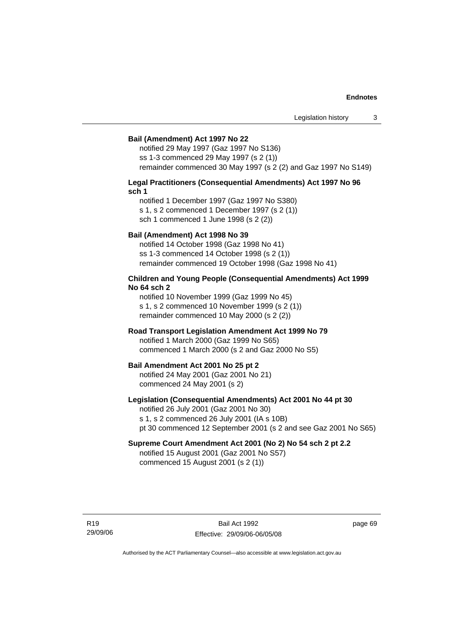#### **Bail (Amendment) Act 1997 No 22**

notified 29 May 1997 (Gaz 1997 No S136) ss 1-3 commenced 29 May 1997 (s 2 (1)) remainder commenced 30 May 1997 (s 2 (2) and Gaz 1997 No S149)

#### **Legal Practitioners (Consequential Amendments) Act 1997 No 96 sch 1**

notified 1 December 1997 (Gaz 1997 No S380) s 1, s 2 commenced 1 December 1997 (s 2 (1)) sch 1 commenced 1 June 1998 (s 2 (2))

#### **Bail (Amendment) Act 1998 No 39**

notified 14 October 1998 (Gaz 1998 No 41) ss 1-3 commenced 14 October 1998 (s 2 (1)) remainder commenced 19 October 1998 (Gaz 1998 No 41)

### **Children and Young People (Consequential Amendments) Act 1999 No 64 sch 2**

notified 10 November 1999 (Gaz 1999 No 45) s 1, s 2 commenced 10 November 1999 (s 2 (1)) remainder commenced 10 May 2000 (s 2 (2))

#### **Road Transport Legislation Amendment Act 1999 No 79**

notified 1 March 2000 (Gaz 1999 No S65) commenced 1 March 2000 (s 2 and Gaz 2000 No S5)

#### **Bail Amendment Act 2001 No 25 pt 2**

notified 24 May 2001 (Gaz 2001 No 21) commenced 24 May 2001 (s 2)

## **Legislation (Consequential Amendments) Act 2001 No 44 pt 30**

notified 26 July 2001 (Gaz 2001 No 30) s 1, s 2 commenced 26 July 2001 (IA s 10B) pt 30 commenced 12 September 2001 (s 2 and see Gaz 2001 No S65)

## **Supreme Court Amendment Act 2001 (No 2) No 54 sch 2 pt 2.2**

notified 15 August 2001 (Gaz 2001 No S57) commenced 15 August 2001 (s 2 (1))

R19 29/09/06 page 69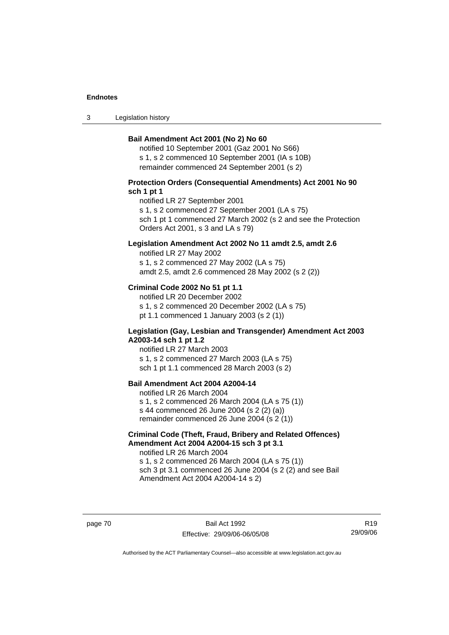3 Legislation history

### **Bail Amendment Act 2001 (No 2) No 60**

notified 10 September 2001 (Gaz 2001 No S66) s 1, s 2 commenced 10 September 2001 (IA s 10B) remainder commenced 24 September 2001 (s 2)

### **Protection Orders (Consequential Amendments) Act 2001 No 90 sch 1 pt 1**

notified LR 27 September 2001

s 1, s 2 commenced 27 September 2001 (LA s 75)

sch 1 pt 1 commenced 27 March 2002 (s 2 and see the Protection Orders Act 2001, s 3 and LA s 79)

### **Legislation Amendment Act 2002 No 11 amdt 2.5, amdt 2.6**

notified LR 27 May 2002 s 1, s 2 commenced 27 May 2002 (LA s 75) amdt 2.5, amdt 2.6 commenced 28 May 2002 (s 2 (2))

### **Criminal Code 2002 No 51 pt 1.1**

notified LR 20 December 2002 s 1, s 2 commenced 20 December 2002 (LA s 75) pt 1.1 commenced 1 January 2003 (s 2 (1))

#### **Legislation (Gay, Lesbian and Transgender) Amendment Act 2003 A2003-14 sch 1 pt 1.2**

notified LR 27 March 2003 s 1, s 2 commenced 27 March 2003 (LA s 75) sch 1 pt 1.1 commenced 28 March 2003 (s 2)

## **Bail Amendment Act 2004 A2004-14**

notified LR 26 March 2004 s 1, s 2 commenced 26 March 2004 (LA s 75 (1)) s 44 commenced 26 June 2004 (s 2 (2) (a)) remainder commenced 26 June 2004 (s 2 (1))

## **Criminal Code (Theft, Fraud, Bribery and Related Offences) Amendment Act 2004 A2004-15 sch 3 pt 3.1**

notified LR 26 March 2004 s 1, s 2 commenced 26 March 2004 (LA s 75 (1)) sch 3 pt 3.1 commenced 26 June 2004 (s 2 (2) and see Bail Amendment Act 2004 A2004-14 s 2)

page 70 Bail Act 1992 Effective: 29/09/06-06/05/08

R19 29/09/06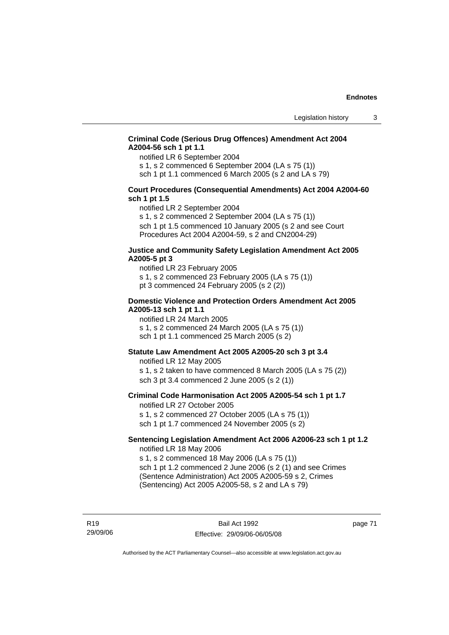### **Criminal Code (Serious Drug Offences) Amendment Act 2004 A2004-56 sch 1 pt 1.1**

notified LR 6 September 2004

s 1, s 2 commenced 6 September 2004 (LA s 75 (1))

sch 1 pt 1.1 commenced 6 March 2005 (s 2 and LA s 79)

### **Court Procedures (Consequential Amendments) Act 2004 A2004-60 sch 1 pt 1.5**

notified LR 2 September 2004

s 1, s 2 commenced 2 September 2004 (LA s 75 (1)) sch 1 pt 1.5 commenced 10 January 2005 (s 2 and see Court Procedures Act 2004 A2004-59, s 2 and CN2004-29)

### **Justice and Community Safety Legislation Amendment Act 2005 A2005-5 pt 3**

notified LR 23 February 2005 s 1, s 2 commenced 23 February 2005 (LA s 75 (1)) pt 3 commenced 24 February 2005 (s 2 (2))

### **Domestic Violence and Protection Orders Amendment Act 2005 A2005-13 sch 1 pt 1.1**

notified LR 24 March 2005 s 1, s 2 commenced 24 March 2005 (LA s 75 (1)) sch 1 pt 1.1 commenced 25 March 2005 (s 2)

### **Statute Law Amendment Act 2005 A2005-20 sch 3 pt 3.4**

notified LR 12 May 2005 s 1, s 2 taken to have commenced 8 March 2005 (LA s 75 (2)) sch 3 pt 3.4 commenced 2 June 2005 (s 2 (1))

### **Criminal Code Harmonisation Act 2005 A2005-54 sch 1 pt 1.7**  notified LR 27 October 2005

s 1, s 2 commenced 27 October 2005 (LA s 75 (1)) sch 1 pt 1.7 commenced 24 November 2005 (s 2)

#### **Sentencing Legislation Amendment Act 2006 A2006-23 sch 1 pt 1.2**  notified LR 18 May 2006

s 1, s 2 commenced 18 May 2006 (LA s 75 (1)) sch 1 pt 1.2 commenced 2 June 2006 (s 2 (1) and see Crimes (Sentence Administration) Act 2005 A2005-59 s 2, Crimes (Sentencing) Act 2005 A2005-58, s 2 and LA s 79)

R19 29/09/06 page 71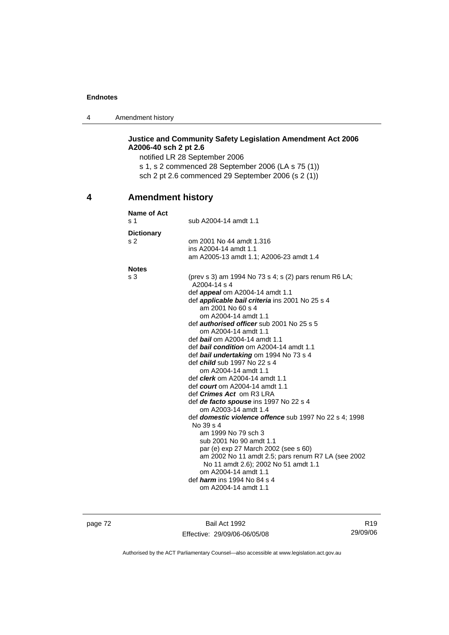4 Amendment history

## **Justice and Community Safety Legislation Amendment Act 2006 A2006-40 sch 2 pt 2.6**

notified LR 28 September 2006 s 1, s 2 commenced 28 September 2006 (LA s 75 (1)) sch 2 pt 2.6 commenced 29 September 2006 (s 2 (1))

# **4 Amendment history**

| Name of Act<br>s <sub>1</sub>       | sub A2004-14 amdt 1.1                                                                                                                                                                                                                                                                                                                                                                                                                                                                                                                                                                                                                                                                                                                                                                                                                                                                                                                                                                                               |  |
|-------------------------------------|---------------------------------------------------------------------------------------------------------------------------------------------------------------------------------------------------------------------------------------------------------------------------------------------------------------------------------------------------------------------------------------------------------------------------------------------------------------------------------------------------------------------------------------------------------------------------------------------------------------------------------------------------------------------------------------------------------------------------------------------------------------------------------------------------------------------------------------------------------------------------------------------------------------------------------------------------------------------------------------------------------------------|--|
| <b>Dictionary</b><br>s <sub>2</sub> | om 2001 No 44 amdt 1.316<br>ins A2004-14 amdt 1.1<br>am A2005-13 amdt 1.1; A2006-23 amdt 1.4                                                                                                                                                                                                                                                                                                                                                                                                                                                                                                                                                                                                                                                                                                                                                                                                                                                                                                                        |  |
| <b>Notes</b>                        |                                                                                                                                                                                                                                                                                                                                                                                                                                                                                                                                                                                                                                                                                                                                                                                                                                                                                                                                                                                                                     |  |
| s 3                                 | (prev s 3) am 1994 No 73 s 4; s (2) pars renum R6 LA;<br>A2004-14 s 4<br>def <i>appeal</i> om A2004-14 amdt 1.1<br>def <i>applicable bail criteria</i> ins 2001 No 25 s 4<br>am 2001 No 60 s 4<br>om A2004-14 amdt 1.1<br>def <b>authorised officer</b> sub 2001 No 25 s 5<br>om A2004-14 amdt 1.1<br>def bail om A2004-14 amdt 1.1<br>def bail condition om A2004-14 amdt 1.1<br>def bail undertaking om 1994 No 73 s 4<br>def <i>child</i> sub 1997 No 22 s 4<br>om A2004-14 amdt 1.1<br>def <i>clerk</i> om A2004-14 amdt 1.1<br>def <i>court</i> om A2004-14 amdt 1.1<br>def <i>Crimes Act</i> om R3 LRA<br>def de facto spouse ins 1997 No 22 s 4<br>om A2003-14 amdt 1.4<br>def <i>domestic violence offence</i> sub 1997 No 22 s 4: 1998<br>No 39 s 4<br>am 1999 No 79 sch 3<br>sub 2001 No 90 amdt 1.1<br>par (e) exp 27 March 2002 (see s 60)<br>am 2002 No 11 amdt 2.5; pars renum R7 LA (see 2002)<br>No 11 amdt 2.6); 2002 No 51 amdt 1.1<br>om A2004-14 amdt 1.1<br>def <i>harm</i> ins 1994 No 84 s 4 |  |
|                                     | om A2004-14 amdt 1.1                                                                                                                                                                                                                                                                                                                                                                                                                                                                                                                                                                                                                                                                                                                                                                                                                                                                                                                                                                                                |  |

page 72 Bail Act 1992 Effective: 29/09/06-06/05/08

R19 29/09/06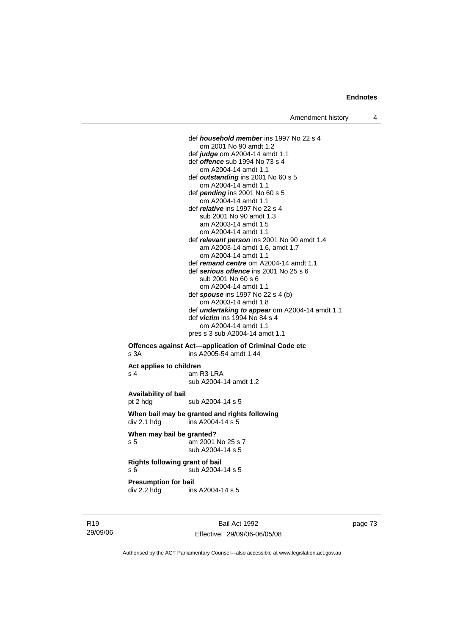def *household member* ins 1997 No 22 s 4 om 2001 No 90 amdt 1.2 def *judge* om A2004-14 amdt 1.1 def *offence* sub 1994 No 73 s 4 om A2004-14 amdt 1.1 def *outstanding* ins 2001 No 60 s 5 om A2004-14 amdt 1.1 def *pending* ins 2001 No 60 s 5 om A2004-14 amdt 1.1 def *relative* ins 1997 No 22 s 4 sub 2001 No 90 amdt 1.3 am A2003-14 amdt 1.5 om A2004-14 amdt 1.1 def *relevant person* ins 2001 No 90 amdt 1.4 am A2003-14 amdt 1.6, amdt 1.7 om A2004-14 amdt 1.1 def *remand centre* om A2004-14 amdt 1.1 def *serious offence* ins 2001 No 25 s 6 sub 2001 No 60 s 6 om A2004-14 amdt 1.1 def *spouse* ins 1997 No 22 s 4 (b) om A2003-14 amdt 1.8 def *undertaking to appear* om A2004-14 amdt 1.1 def *victim* ins 1994 No 84 s 4 om A2004-14 amdt 1.1 pres s 3 sub A2004-14 amdt 1.1 **Offences against Act—application of Criminal Code etc** 

## s 3A ins A2005-54 amdt 1.44 **Act applies to children**  s 4 am R3 LRA

sub A2004-14 amdt 1.2

**Availability of bail**  pt 2 hdg sub A2004-14 s 5

**When bail may be granted and rights following**   $div 2.1$  hdg ins A2004-14 s 5

**When may bail be granted?**  s 5 am 2001 No 25 s 7 sub A2004-14 s 5

**Rights following grant of bail**  s 6  $\overline{\smash{\big)}\smash{\big)}\smash{\big)}$  sub A2004-14 s 5

**Presumption for bail** 

div 2.2 hdg ins A2004-14 s 5

R19 29/09/06

Bail Act 1992 Effective: 29/09/06-06/05/08 page 73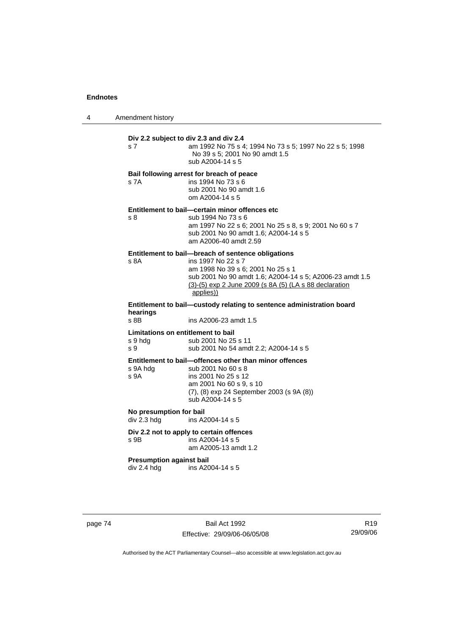4 Amendment history

| s 7                                                                   | Div 2.2 subject to div 2.3 and div 2.4<br>am 1992 No 75 s 4; 1994 No 73 s 5; 1997 No 22 s 5; 1998<br>No 39 s 5; 2001 No 90 amdt 1.5<br>sub A2004-14 s 5                                                                                          |  |
|-----------------------------------------------------------------------|--------------------------------------------------------------------------------------------------------------------------------------------------------------------------------------------------------------------------------------------------|--|
| s 7A                                                                  | Bail following arrest for breach of peace<br>ins 1994 No 73 s 6<br>sub 2001 No 90 amdt 1.6<br>om A2004-14 s 5                                                                                                                                    |  |
| s 8                                                                   | Entitlement to bail-certain minor offences etc<br>sub 1994 No 73 s 6<br>am 1997 No 22 s 6; 2001 No 25 s 8, s 9; 2001 No 60 s 7<br>sub 2001 No 90 amdt 1.6; A2004-14 s 5<br>am A2006-40 amdt 2.59                                                 |  |
| s 8A                                                                  | Entitlement to bail-breach of sentence obligations<br>ins 1997 No 22 s 7<br>am 1998 No 39 s 6; 2001 No 25 s 1<br>sub 2001 No 90 amdt 1.6; A2004-14 s 5; A2006-23 amdt 1.5<br>(3)-(5) exp 2 June 2009 (s 8A (5) (LA s 88 declaration<br>applies)) |  |
| Entitlement to bail—custody relating to sentence administration board |                                                                                                                                                                                                                                                  |  |
| hearings<br>s 8B                                                      | ins A2006-23 amdt 1.5                                                                                                                                                                                                                            |  |
| Limitations on entitlement to bail<br>s 9 hdg<br>s 9                  | sub 2001 No 25 s 11<br>sub 2001 No 54 amdt 2.2; A2004-14 s 5                                                                                                                                                                                     |  |
| s 9A hdg<br>S <sub>9A</sub>                                           | Entitlement to bail-offences other than minor offences<br>sub 2001 No 60 s 8<br>ins 2001 No 25 s 12<br>am 2001 No 60 s 9, s 10<br>(7), (8) exp 24 September 2003 (s 9A (8))<br>sub A2004-14 s 5                                                  |  |
| No presumption for bail<br>div 2.3 hdg                                | ins A2004-14 s 5                                                                                                                                                                                                                                 |  |
| s 9B                                                                  | Div 2.2 not to apply to certain offences<br>ins A2004-14 s 5<br>am A2005-13 amdt 1.2                                                                                                                                                             |  |
| <b>Presumption against bail</b><br>div 2.4 hdg                        | ins A2004-14 s 5                                                                                                                                                                                                                                 |  |
|                                                                       |                                                                                                                                                                                                                                                  |  |

page 74 Bail Act 1992 Effective: 29/09/06-06/05/08

R19 29/09/06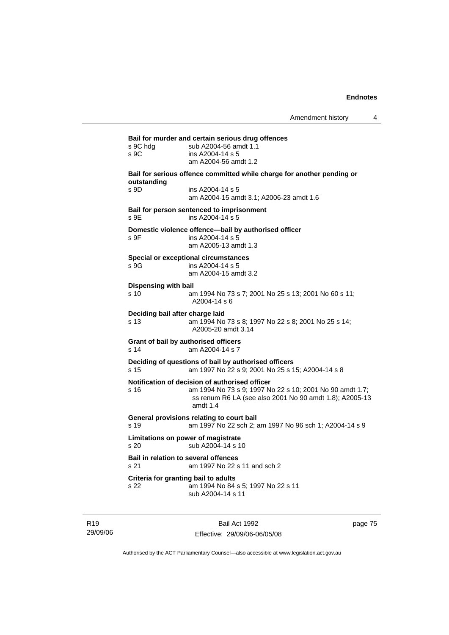**Bail for murder and certain serious drug offences**  s 9C hdg sub A2004-56 amdt 1.1 s 9C ins A2004-14 s 5 am A2004-56 amdt 1.2 **Bail for serious offence committed while charge for another pending or outstanding**  s 9D ins A2004-14 s 5 am A2004-15 amdt 3.1; A2006-23 amdt 1.6 **Bail for person sentenced to imprisonment**  s 9E ins A2004-14 s 5 **Domestic violence offence—bail by authorised officer**  s 9F ins A2004-14 s 5 am A2005-13 amdt 1.3 **Special or exceptional circumstances**  s 9G ins A2004-14 s 5 am A2004-15 amdt 3.2 **Dispensing with bail** s 10 am 1994 No 73 s 7; 2001 No 25 s 13; 2001 No 60 s 11; A2004-14 s 6 **Deciding bail after charge laid** s 13 am 1994 No 73 s 8; 1997 No 22 s 8; 2001 No 25 s 14; A2005-20 amdt 3.14 **Grant of bail by authorised officers**  s 14 am A2004-14 s 7 **Deciding of questions of bail by authorised officers** s 15 am 1997 No 22 s 9; 2001 No 25 s 15; A2004-14 s 8 **Notification of decision of authorised officer** s 16 am 1994 No 73 s 9; 1997 No 22 s 10; 2001 No 90 amdt 1.7; ss renum R6 LA (see also 2001 No 90 amdt 1.8); A2005-13 amdt 1.4 **General provisions relating to court bail** s 19 am 1997 No 22 sch 2; am 1997 No 96 sch 1; A2004-14 s 9 **Limitations on power of magistrate**  s 20 sub A2004-14 s 10 **Bail in relation to several offences** s 21 am 1997 No 22 s 11 and sch 2 **Criteria for granting bail to adults** s 22 am 1994 No 84 s 5; 1997 No 22 s 11 sub A2004-14 s 11

R19 29/09/06

Bail Act 1992 Effective: 29/09/06-06/05/08 page 75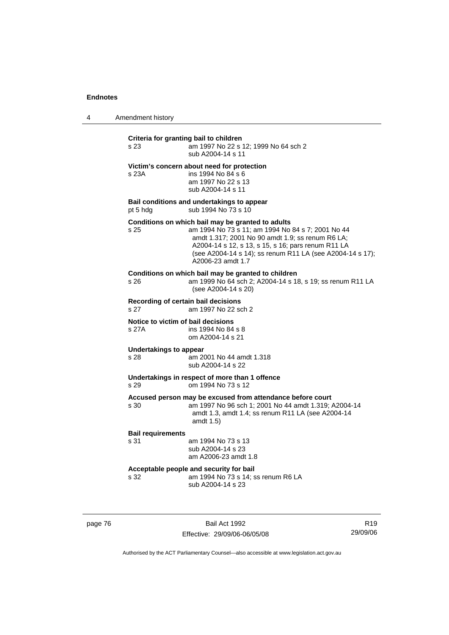| $\boldsymbol{\Lambda}$ | Amendment history |  |
|------------------------|-------------------|--|
|------------------------|-------------------|--|

| Criteria for granting bail to children<br>am 1997 No 22 s 12; 1999 No 64 sch 2<br>s 23<br>sub A2004-14 s 11 |                                                                                                                                                                                                                                                                                                    |  |
|-------------------------------------------------------------------------------------------------------------|----------------------------------------------------------------------------------------------------------------------------------------------------------------------------------------------------------------------------------------------------------------------------------------------------|--|
| s 23A                                                                                                       | Victim's concern about need for protection<br>ins 1994 No 84 s 6<br>am 1997 No 22 s 13<br>sub A2004-14 s 11                                                                                                                                                                                        |  |
| pt 5 hdg                                                                                                    | Bail conditions and undertakings to appear<br>sub 1994 No 73 s 10                                                                                                                                                                                                                                  |  |
| s 25                                                                                                        | Conditions on which bail may be granted to adults<br>am 1994 No 73 s 11; am 1994 No 84 s 7; 2001 No 44<br>amdt 1.317; 2001 No 90 amdt 1.9; ss renum R6 LA;<br>A2004-14 s 12, s 13, s 15, s 16; pars renum R11 LA<br>(see A2004-14 s 14); ss renum R11 LA (see A2004-14 s 17);<br>A2006-23 amdt 1.7 |  |
| s 26                                                                                                        | Conditions on which bail may be granted to children<br>am 1999 No 64 sch 2; A2004-14 s 18, s 19; ss renum R11 LA<br>(see A2004-14 s 20)                                                                                                                                                            |  |
| s 27                                                                                                        | Recording of certain bail decisions<br>am 1997 No 22 sch 2                                                                                                                                                                                                                                         |  |
| Notice to victim of bail decisions<br>s 27A                                                                 | ins 1994 No 84 s 8<br>om A2004-14 s 21                                                                                                                                                                                                                                                             |  |
| <b>Undertakings to appear</b><br>s <sub>28</sub>                                                            | am 2001 No 44 amdt 1.318<br>sub A2004-14 s 22                                                                                                                                                                                                                                                      |  |
| s 29                                                                                                        | Undertakings in respect of more than 1 offence<br>om 1994 No 73 s 12                                                                                                                                                                                                                               |  |
| s 30                                                                                                        | Accused person may be excused from attendance before court<br>am 1997 No 96 sch 1; 2001 No 44 amdt 1.319; A2004-14<br>amdt 1.3, amdt 1.4; ss renum R11 LA (see A2004-14<br>amdt 1.5)                                                                                                               |  |
| <b>Bail requirements</b><br>s 31                                                                            | am 1994 No 73 s 13<br>sub A2004-14 s 23<br>am A2006-23 amdt 1.8                                                                                                                                                                                                                                    |  |
| s 32                                                                                                        | Acceptable people and security for bail<br>am 1994 No 73 s 14; ss renum R6 LA<br>sub A2004-14 s 23                                                                                                                                                                                                 |  |

page 76 Bail Act 1992 Effective: 29/09/06-06/05/08

R19 29/09/06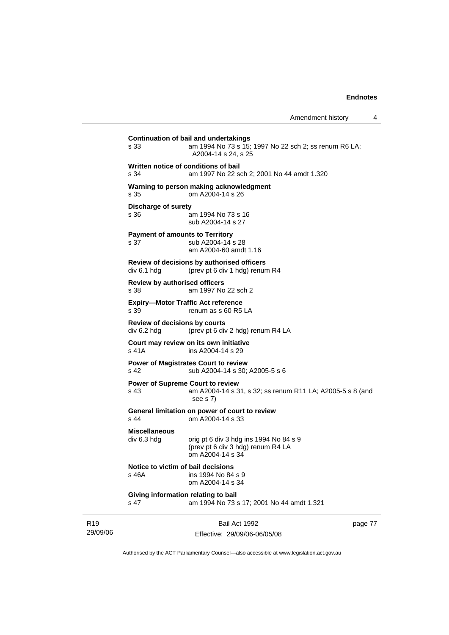**Continuation of bail and undertakings** s 33 am 1994 No 73 s 15; 1997 No 22 sch 2; ss renum R6 LA; A2004-14 s 24, s 25 **Written notice of conditions of bail** s 34 am 1997 No 22 sch 2; 2001 No 44 amdt 1.320 **Warning to person making acknowledgment** s 35 om A2004-14 s 26 **Discharge of surety** s 36 am 1994 No 73 s 16 sub A2004-14 s 27 **Payment of amounts to Territory** s 37 sub A2004-14 s 28 am A2004-60 amdt 1.16 **Review of decisions by authorised officers**  div 6.1 hdg (prev pt 6 div 1 hdg) renum R4 **Review by authorised officers** s 38 am 1997 No 22 sch 2 **Expiry—Motor Traffic Act reference**  s 39 renum as s 60 R5 LA **Review of decisions by courts**  div 6.2 hdg (prev pt 6 div 2 hdg) renum R4 LA **Court may review on its own initiative** s 41A ins A2004-14 s 29 **Power of Magistrates Court to review** s 42 sub A2004-14 s 30; A2005-5 s 6 **Power of Supreme Court to review** s 43 am A2004-14 s 31, s 32; ss renum R11 LA; A2005-5 s 8 (and see s 7) **General limitation on power of court to review** s 44 om A2004-14 s 33 **Miscellaneous**  div 6.3 hdg orig pt 6 div 3 hdg ins 1994 No 84 s 9 (prev pt 6 div 3 hdg) renum R4 LA om A2004-14 s 34 **Notice to victim of bail decisions**<br>s 46A ins 1994 No 84 ins 1994 No 84 s 9 om A2004-14 s 34 **Giving information relating to bail** s 47 am 1994 No 73 s 17; 2001 No 44 amdt 1.321

R19 29/09/06 Bail Act 1992 Effective: 29/09/06-06/05/08 page 77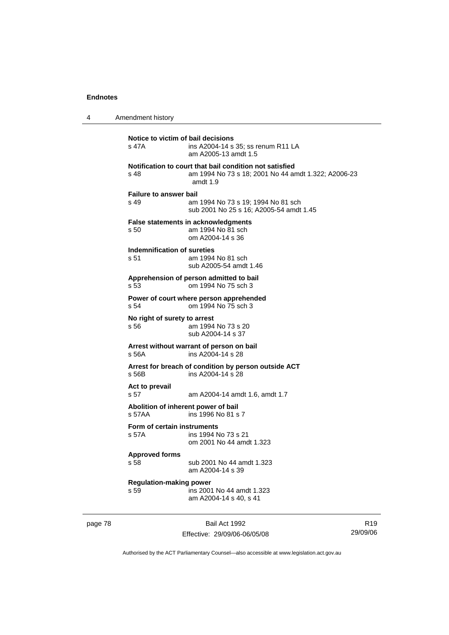4 Amendment history

**Notice to victim of bail decisions**<br>s 47A **ins A2004-14 s** ins A2004-14 s 35; ss renum R11 LA am A2005-13 amdt 1.5 **Notification to court that bail condition not satisfied** s 48 am 1994 No 73 s 18; 2001 No 44 amdt 1.322; A2006-23 amdt 1.9 **Failure to answer bail** s 49 am 1994 No 73 s 19; 1994 No 81 sch sub 2001 No 25 s 16; A2005-54 amdt 1.45 **False statements in acknowledgments** s 50 am 1994 No 81 sch om A2004-14 s 36 **Indemnification of sureties** s 51 am 1994 No 81 sch sub A2005-54 amdt 1.46 **Apprehension of person admitted to bail** s 53 om 1994 No 75 sch 3 **Power of court where person apprehended** s 54 om 1994 No 75 sch 3 **No right of surety to arrest**<br>s 56 am 1994 am 1994 No 73 s 20 sub A2004-14 s 37 **Arrest without warrant of person on bail** s 56A ins A2004-14 s 28 **Arrest for breach of condition by person outside ACT** s 56B ins A2004-14 s 28 **Act to prevail**  s 57 am A2004-14 amdt 1.6, amdt 1.7 **Abolition of inherent power of bail** s 57AA ins 1996 No 81 s 7 **Form of certain instruments**<br>s 57A **ins 1994** M ins 1994 No 73 s 21 om 2001 No 44 amdt 1.323 **Approved forms**  s 58 sub 2001 No 44 amdt 1.323 am A2004-14 s 39 **Regulation-making power**  s 59 ins 2001 No 44 amdt 1.323 am A2004-14 s 40, s 41

page 78 Bail Act 1992 Effective: 29/09/06-06/05/08

R19 29/09/06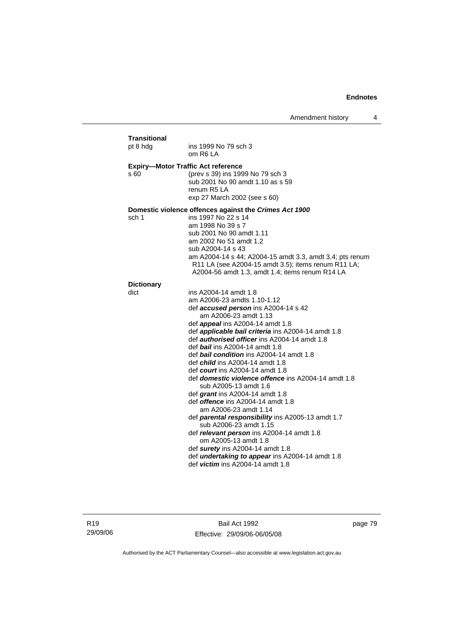| pt 8 hdg                  | ins 1999 No 79 sch 3<br>om R6 LA                                                                       |
|---------------------------|--------------------------------------------------------------------------------------------------------|
| s 60                      | <b>Expiry-Motor Traffic Act reference</b><br>(prev s 39) ins 1999 No 79 sch 3                          |
|                           | sub 2001 No 90 amdt 1.10 as s 59<br>renum R <sub>5</sub> LA                                            |
|                           | exp 27 March 2002 (see s 60)                                                                           |
|                           | Domestic violence offences against the Crimes Act 1900                                                 |
| sch 1                     | ins 1997 No 22 s 14<br>am 1998 No 39 s 7                                                               |
|                           | sub 2001 No 90 amdt 1.11                                                                               |
|                           | am 2002 No 51 amdt 1.2                                                                                 |
|                           | sub A2004-14 s 43                                                                                      |
|                           | am A2004-14 s 44; A2004-15 amdt 3.3, amdt 3.4; pts renum                                               |
|                           | R11 LA (see A2004-15 amdt 3.5); items renum R11 LA;<br>A2004-56 amdt 1.3, amdt 1.4; items renum R14 LA |
|                           |                                                                                                        |
| <b>Dictionary</b><br>dict | ins A2004-14 amdt 1.8                                                                                  |
|                           | am A2006-23 amdts 1.10-1.12                                                                            |
|                           | def accused person ins A2004-14 s 42                                                                   |
|                           | am A2006-23 amdt 1.13                                                                                  |
|                           | def <i>appeal</i> ins A2004-14 amdt 1.8                                                                |
|                           | def <i>applicable bail criteria</i> ins A2004-14 amdt 1.8                                              |
|                           | def <b>authorised officer</b> ins A2004-14 amdt 1.8<br>def bail ins A2004-14 amdt 1.8                  |
|                           | def <b>bail condition</b> ins A2004-14 amdt 1.8                                                        |
|                           | def <i>child</i> ins A2004-14 amdt 1.8                                                                 |
|                           | def <i>court</i> ins A2004-14 amdt 1.8                                                                 |
|                           | def <b>domestic violence offence</b> ins A2004-14 amdt 1.8                                             |
|                           | sub A2005-13 amdt 1.6                                                                                  |
|                           | def grant ins A2004-14 amdt 1.8<br>def <i>offence</i> ins A2004-14 amdt 1.8                            |
|                           | am A2006-23 amdt 1.14                                                                                  |
|                           | def parental responsibility ins A2005-13 amdt 1.7<br>sub A2006-23 amdt 1.15                            |
|                           | def relevant person ins A2004-14 amdt 1.8<br>om A2005-13 amdt 1.8                                      |
|                           | def surety ins A2004-14 amdt 1.8                                                                       |
|                           | def <i>undertaking to appear</i> ins A2004-14 amdt 1.8                                                 |
|                           | def <i>victim</i> ins A2004-14 amdt 1.8                                                                |

Bail Act 1992 Effective: 29/09/06-06/05/08 page 79